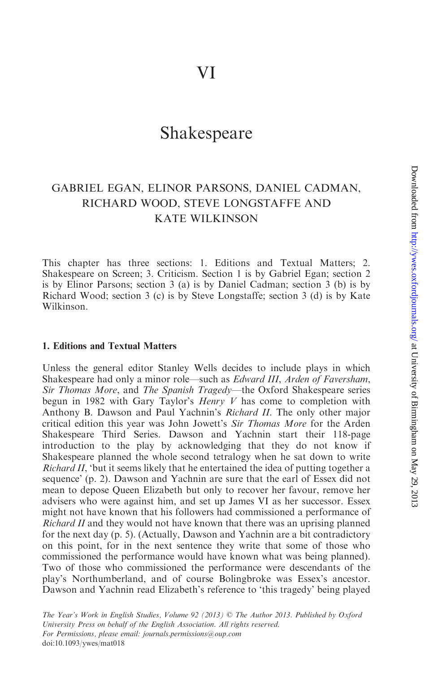# Shakespeare

## GABRIEL EGAN, ELINOR PARSONS, DANIEL CADMAN, RICHARD WOOD, STEVE LONGSTAFFE AND KATE WILKINSON

This chapter has three sections: 1. Editions and Textual Matters; 2. Shakespeare on Screen; 3. Criticism. Section 1 is by Gabriel Egan; section 2 is by Elinor Parsons; section 3 (a) is by Daniel Cadman; section 3 (b) is by Richard Wood; section 3 (c) is by Steve Longstaffe; section 3 (d) is by Kate Wilkinson.

## 1. Editions and Textual Matters

Unless the general editor Stanley Wells decides to include plays in which Shakespeare had only a minor role—such as Edward III, Arden of Faversham, Sir Thomas More, and The Spanish Tragedy—the Oxford Shakespeare series begun in 1982 with Gary Taylor's *Henry V* has come to completion with Anthony B. Dawson and Paul Yachnin's Richard II. The only other major critical edition this year was John Jowett's Sir Thomas More for the Arden Shakespeare Third Series. Dawson and Yachnin start their 118-page introduction to the play by acknowledging that they do not know if Shakespeare planned the whole second tetralogy when he sat down to write  $Richard II$ , 'but it seems likely that he entertained the idea of putting together a sequence' (p. 2). Dawson and Yachnin are sure that the earl of Essex did not mean to depose Queen Elizabeth but only to recover her favour, remove her advisers who were against him, and set up James VI as her successor. Essex might not have known that his followers had commissioned a performance of Richard  $II$  and they would not have known that there was an uprising planned for the next day (p. 5). (Actually, Dawson and Yachnin are a bit contradictory on this point, for in the next sentence they write that some of those who commissioned the performance would have known what was being planned). Two of those who commissioned the performance were descendants of the play's Northumberland, and of course Bolingbroke was Essex's ancestor. Dawson and Yachnin read Elizabeth's reference to 'this tragedy' being played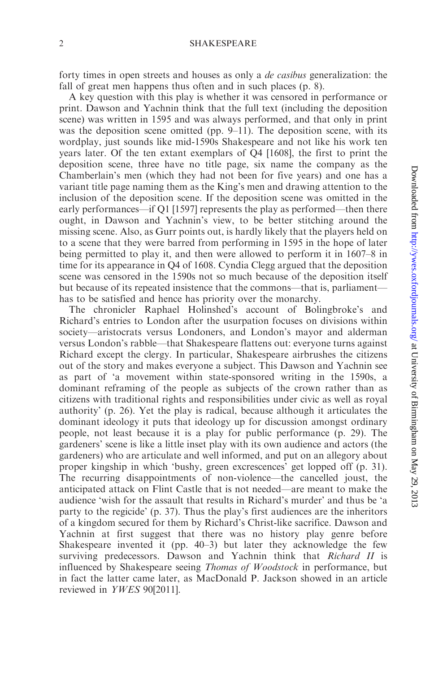forty times in open streets and houses as only a de casibus generalization: the fall of great men happens thus often and in such places  $(p, 8)$ .

A key question with this play is whether it was censored in performance or print. Dawson and Yachnin think that the full text (including the deposition scene) was written in 1595 and was always performed, and that only in print was the deposition scene omitted (pp.  $9-11$ ). The deposition scene, with its wordplay, just sounds like mid-1590s Shakespeare and not like his work ten years later. Of the ten extant exemplars of Q4 [1608], the first to print the deposition scene, three have no title page, six name the company as the Chamberlain's men (which they had not been for five years) and one has a variant title page naming them as the King's men and drawing attention to the inclusion of the deposition scene. If the deposition scene was omitted in the early performances—if Q1 [1597] represents the play as performed—then there ought, in Dawson and Yachnin's view, to be better stitching around the missing scene. Also, as Gurr points out, is hardly likely that the players held on to a scene that they were barred from performing in 1595 in the hope of later being permitted to play it, and then were allowed to perform it in 1607–8 in time for its appearance in Q4 of 1608. Cyndia Clegg argued that the deposition scene was censored in the 1590s not so much because of the deposition itself but because of its repeated insistence that the commons—that is, parliament has to be satisfied and hence has priority over the monarchy.

The chronicler Raphael Holinshed's account of Bolingbroke's and Richard's entries to London after the usurpation focuses on divisions within society—aristocrats versus Londoners, and London's mayor and alderman versus London's rabble—that Shakespeare flattens out: everyone turns against Richard except the clergy. In particular, Shakespeare airbrushes the citizens out of the story and makes everyone a subject. This Dawson and Yachnin see as part of 'a movement within state-sponsored writing in the 1590s, a dominant reframing of the people as subjects of the crown rather than as citizens with traditional rights and responsibilities under civic as well as royal authority' (p. 26). Yet the play is radical, because although it articulates the dominant ideology it puts that ideology up for discussion amongst ordinary people, not least because it is a play for public performance (p. 29). The gardeners' scene is like a little inset play with its own audience and actors (the gardeners) who are articulate and well informed, and put on an allegory about proper kingship in which 'bushy, green excrescences' get lopped off (p. 31). The recurring disappointments of non-violence—the cancelled joust, the anticipated attack on Flint Castle that is not needed—are meant to make the audience 'wish for the assault that results in Richard's murder' and thus be 'a party to the regicide' (p. 37). Thus the play's first audiences are the inheritors of a kingdom secured for them by Richard's Christ-like sacrifice. Dawson and Yachnin at first suggest that there was no history play genre before Shakespeare invented it (pp. 40-3) but later they acknowledge the few surviving predecessors. Dawson and Yachnin think that  $Richard$  II is influenced by Shakespeare seeing Thomas of Woodstock in performance, but in fact the latter came later, as MacDonald P. Jackson showed in an article reviewed in YWES 90[2011].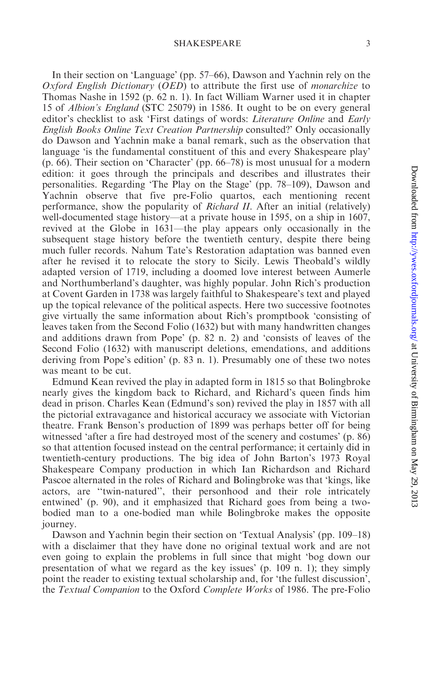In their section on 'Language' (pp. 57–66), Dawson and Yachnin rely on the  $Ox$  English Dictionary  $OED$  to attribute the first use of *monarchize* to Thomas Nashe in 1592 (p. 62 n. 1). In fact William Warner used it in chapter 15 of Albion's England (STC 25079) in 1586. It ought to be on every general editor's checklist to ask 'First datings of words: Literature Online and Early English Books Online Text Creation Partnership consulted?' Only occasionally do Dawson and Yachnin make a banal remark, such as the observation that language 'is the fundamental constituent of this and every Shakespeare play' (p. 66). Their section on 'Character' (pp. 66–78) is most unusual for a modern edition: it goes through the principals and describes and illustrates their personalities. Regarding 'The Play on the Stage' (pp. 78–109), Dawson and Yachnin observe that five pre-Folio quartos, each mentioning recent performance, show the popularity of *Richard II*. After an initial (relatively) well-documented stage history—at a private house in 1595, on a ship in 1607, revived at the Globe in 1631—the play appears only occasionally in the subsequent stage history before the twentieth century, despite there being much fuller records. Nahum Tate's Restoration adaptation was banned even after he revised it to relocate the story to Sicily. Lewis Theobald's wildly adapted version of 1719, including a doomed love interest between Aumerle and Northumberland's daughter, was highly popular. John Rich's production at Covent Garden in 1738 was largely faithful to Shakespeare's text and played up the topical relevance of the political aspects. Here two successive footnotes give virtually the same information about Rich's promptbook 'consisting of leaves taken from the Second Folio (1632) but with many handwritten changes and additions drawn from Pope' (p. 82 n. 2) and 'consists of leaves of the Second Folio (1632) with manuscript deletions, emendations, and additions deriving from Pope's edition' (p.  $83 \text{ n}$ . 1). Presumably one of these two notes was meant to be cut.

Edmund Kean revived the play in adapted form in 1815 so that Bolingbroke nearly gives the kingdom back to Richard, and Richard's queen finds him dead in prison. Charles Kean (Edmund's son) revived the play in 1857 with all the pictorial extravagance and historical accuracy we associate with Victorian theatre. Frank Benson's production of 1899 was perhaps better off for being witnessed 'after a fire had destroyed most of the scenery and costumes' (p. 86) so that attention focused instead on the central performance; it certainly did in twentieth-century productions. The big idea of John Barton's 1973 Royal Shakespeare Company production in which Ian Richardson and Richard Pascoe alternated in the roles of Richard and Bolingbroke was that 'kings, like actors, are ''twin-natured'', their personhood and their role intricately entwined' (p. 90), and it emphasized that Richard goes from being a twobodied man to a one-bodied man while Bolingbroke makes the opposite journey.

Dawson and Yachnin begin their section on 'Textual Analysis' (pp. 109–18) with a disclaimer that they have done no original textual work and are not even going to explain the problems in full since that might 'bog down our presentation of what we regard as the key issues' (p.  $109$  n. 1); they simply point the reader to existing textual scholarship and, for 'the fullest discussion', the *Textual Companion* to the Oxford *Complete Works* of 1986. The pre-Folio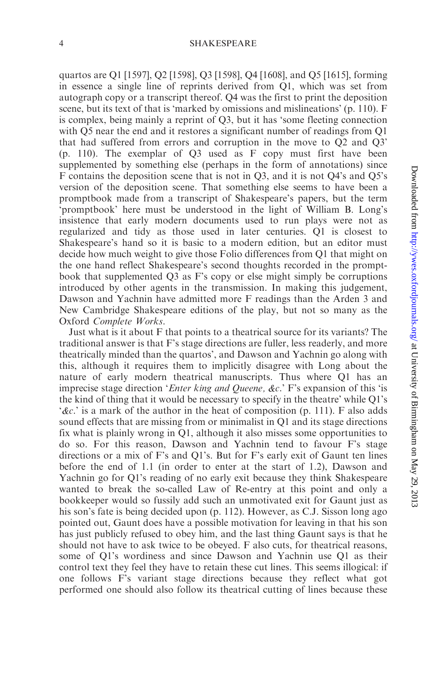quartos are Q1 [1597], Q2 [1598], Q3 [1598], Q4 [1608], and Q5 [1615], forming in essence a single line of reprints derived from Q1, which was set from autograph copy or a transcript thereof. Q4 was the first to print the deposition scene, but its text of that is 'marked by omissions and mislineations' (p. 110). F is complex, being mainly a reprint of Q3, but it has 'some fleeting connection with Q5 near the end and it restores a significant number of readings from Q1 that had suffered from errors and corruption in the move to  $Q2$  and  $Q3'$ (p. 110). The exemplar of Q3 used as F copy must first have been supplemented by something else (perhaps in the form of annotations) since F contains the deposition scene that is not in Q3, and it is not Q4's and Q5's version of the deposition scene. That something else seems to have been a promptbook made from a transcript of Shakespeare's papers, but the term 'promptbook' here must be understood in the light of William B. Long's insistence that early modern documents used to run plays were not as regularized and tidy as those used in later centuries. Q1 is closest to Shakespeare's hand so it is basic to a modern edition, but an editor must decide how much weight to give those Folio differences from Q1 that might on the one hand reflect Shakespeare's second thoughts recorded in the promptbook that supplemented Q3 as F's copy or else might simply be corruptions introduced by other agents in the transmission. In making this judgement, Dawson and Yachnin have admitted more F readings than the Arden 3 and New Cambridge Shakespeare editions of the play, but not so many as the Oxford Complete Works.

Just what is it about F that points to a theatrical source for its variants? The traditional answer is that F's stage directions are fuller, less readerly, and more theatrically minded than the quartos', and Dawson and Yachnin go along with this, although it requires them to implicitly disagree with Long about the nature of early modern theatrical manuscripts. Thus where Q1 has an imprecise stage direction 'Enter king and Queene, &c.' F's expansion of this 'is the kind of thing that it would be necessary to specify in the theatre' while Q1's '&c.' is a mark of the author in the heat of composition (p. 111). F also adds sound effects that are missing from or minimalist in Q1 and its stage directions fix what is plainly wrong in  $\tilde{Q}$ 1, although it also misses some opportunities to do so. For this reason, Dawson and Yachnin tend to favour F's stage directions or a mix of F's and Q1's. But for F's early exit of Gaunt ten lines before the end of 1.1 (in order to enter at the start of 1.2), Dawson and Yachnin go for Q1's reading of no early exit because they think Shakespeare wanted to break the so-called Law of Re-entry at this point and only a bookkeeper would so fussily add such an unmotivated exit for Gaunt just as his son's fate is being decided upon (p. 112). However, as C.J. Sisson long ago pointed out, Gaunt does have a possible motivation for leaving in that his son has just publicly refused to obey him, and the last thing Gaunt says is that he should not have to ask twice to be obeyed. F also cuts, for theatrical reasons, some of Q1's wordiness and since Dawson and Yachnin use Q1 as their control text they feel they have to retain these cut lines. This seems illogical: if one follows F's variant stage directions because they reflect what got performed one should also follow its theatrical cutting of lines because these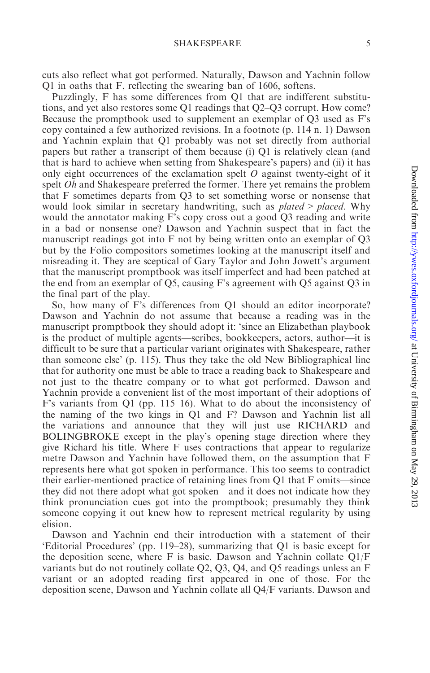cuts also reflect what got performed. Naturally, Dawson and Yachnin follow Q1 in oaths that F, reflecting the swearing ban of 1606, softens.

Puzzlingly, F has some differences from Q1 that are indifferent substitutions, and yet also restores some Q1 readings that Q2–Q3 corrupt. How come? Because the promptbook used to supplement an exemplar of Q3 used as F's copy contained a few authorized revisions. In a footnote (p. 114 n. 1) Dawson and Yachnin explain that Q1 probably was not set directly from authorial papers but rather a transcript of them because (i) Q1 is relatively clean (and that is hard to achieve when setting from Shakespeare's papers) and (ii) it has only eight occurrences of the exclamation spelt  $\overline{O}$  against twenty-eight of it spelt *Oh* and Shakespeare preferred the former. There yet remains the problem that F sometimes departs from Q3 to set something worse or nonsense that would look similar in secretary handwriting, such as *plated* > *placed*. Why would the annotator making F's copy cross out a good Q3 reading and write in a bad or nonsense one? Dawson and Yachnin suspect that in fact the manuscript readings got into F not by being written onto an exemplar of Q3 but by the Folio compositors sometimes looking at the manuscript itself and misreading it. They are sceptical of Gary Taylor and John Jowett's argument that the manuscript promptbook was itself imperfect and had been patched at the end from an exemplar of Q5, causing F's agreement with Q5 against Q3 in the final part of the play.

So, how many of F's differences from Q1 should an editor incorporate? Dawson and Yachnin do not assume that because a reading was in the manuscript promptbook they should adopt it: 'since an Elizabethan playbook is the product of multiple agents—scribes, bookkeepers, actors, author—it is difficult to be sure that a particular variant originates with Shakespeare, rather than someone else' (p. 115). Thus they take the old New Bibliographical line that for authority one must be able to trace a reading back to Shakespeare and not just to the theatre company or to what got performed. Dawson and Yachnin provide a convenient list of the most important of their adoptions of F's variants from Q1 (pp. 115–16). What to do about the inconsistency of the naming of the two kings in Q1 and F? Dawson and Yachnin list all the variations and announce that they will just use RICHARD and BOLINGBROKE except in the play's opening stage direction where they give Richard his title. Where F uses contractions that appear to regularize metre Dawson and Yachnin have followed them, on the assumption that F represents here what got spoken in performance. This too seems to contradict their earlier-mentioned practice of retaining lines from Q1 that F omits—since they did not there adopt what got spoken—and it does not indicate how they think pronunciation cues got into the promptbook; presumably they think someone copying it out knew how to represent metrical regularity by using elision.

Dawson and Yachnin end their introduction with a statement of their 'Editorial Procedures' (pp. 119–28), summarizing that Q1 is basic except for the deposition scene, where F is basic. Dawson and Yachnin collate Q1/F variants but do not routinely collate Q2, Q3, Q4, and Q5 readings unless an F variant or an adopted reading first appeared in one of those. For the deposition scene, Dawson and Yachnin collate all Q4/F variants. Dawson and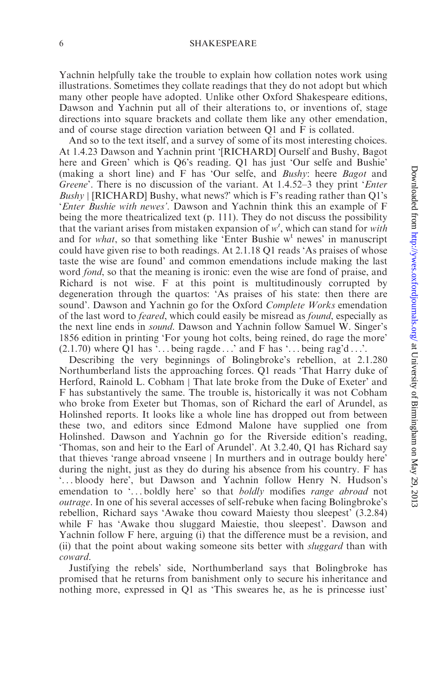Yachnin helpfully take the trouble to explain how collation notes work using illustrations. Sometimes they collate readings that they do not adopt but which many other people have adopted. Unlike other Oxford Shakespeare editions, Dawson and Yachnin put all of their alterations to, or inventions of, stage directions into square brackets and collate them like any other emendation, and of course stage direction variation between Q1 and F is collated.

And so to the text itself, and a survey of some of its most interesting choices. At 1.4.23 Dawson and Yachnin print '[RICHARD] Ourself and Bushy, Bagot here and Green' which is Q6's reading. Q1 has just 'Our selfe and Bushie' (making a short line) and F has 'Our selfe, and Bushy: heere Bagot and Greene'. There is no discussion of the variant. At 1.4.52–3 they print 'Enter  $Bushy$  | [RICHARD] Bushy, what news?' which is F's reading rather than Q1's 'Enter Bushie with newes'. Dawson and Yachnin think this an example of F being the more theatricalized text (p. 111). They do not discuss the possibility that the variant arises from mistaken expansion of  $w<sup>t</sup>$ , which can stand for with and for *what*, so that something like 'Enter Bushie  $w<sup>t</sup>$  newes' in manuscript could have given rise to both readings. At 2.1.18 Q1 reads 'As praises of whose taste the wise are found' and common emendations include making the last word *fond*, so that the meaning is ironic: even the wise are fond of praise, and Richard is not wise. F at this point is multitudinously corrupted by degeneration through the quartos: 'As praises of his state: then there are sound'. Dawson and Yachnin go for the Oxford Complete Works emendation of the last word to feared, which could easily be misread as found, especially as the next line ends in sound. Dawson and Yachnin follow Samuel W. Singer's 1856 edition in printing 'For young hot colts, being reined, do rage the more'  $(2.1.70)$  where Q1 has  $\cdot \cdot$ ... being ragde ...' and F has  $\cdot \cdot$ ... being rag'd ...'.

Describing the very beginnings of Bolingbroke's rebellion, at 2.1.280 Northumberland lists the approaching forces. Q1 reads 'That Harry duke of Herford, Rainold L. Cobham | That late broke from the Duke of Exeter' and F has substantively the same. The trouble is, historically it was not Cobham who broke from Exeter but Thomas, son of Richard the earl of Arundel, as Holinshed reports. It looks like a whole line has dropped out from between these two, and editors since Edmond Malone have supplied one from Holinshed. Dawson and Yachnin go for the Riverside edition's reading, 'Thomas, son and heir to the Earl of Arundel'. At 3.2.40, Q1 has Richard say that thieves 'range abroad vnseene j In murthers and in outrage bouldy here' during the night, just as they do during his absence from his country. F has '... bloody here', but Dawson and Yachnin follow Henry N. Hudson's emendation to ... boldly here' so that *boldly* modifies *range abroad* not outrage. In one of his several accesses of self-rebuke when facing Bolingbroke's rebellion, Richard says 'Awake thou coward Maiesty thou sleepest' (3.2.84) while F has 'Awake thou sluggard Maiestie, thou sleepest'. Dawson and Yachnin follow F here, arguing (i) that the difference must be a revision, and (ii) that the point about waking someone sits better with *sluggard* than with coward.

Justifying the rebels' side, Northumberland says that Bolingbroke has promised that he returns from banishment only to secure his inheritance and nothing more, expressed in Q1 as 'This sweares he, as he is princesse iust'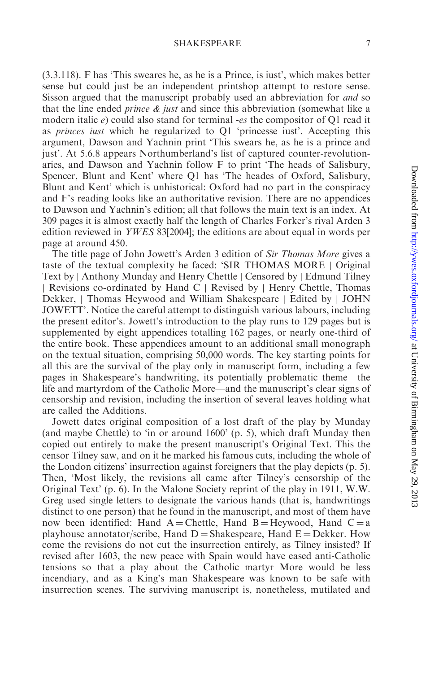(3.3.118). F has 'This sweares he, as he is a Prince, is iust', which makes better sense but could just be an independent printshop attempt to restore sense. Sisson argued that the manuscript probably used an abbreviation for *and* so that the line ended *prince*  $\&$  *just* and since this abbreviation (somewhat like a modern italic  $e$ ) could also stand for terminal -es the compositor of Q1 read it as *princes iust* which he regularized to Q1 'princesse iust'. Accepting this argument, Dawson and Yachnin print 'This swears he, as he is a prince and just'. At 5.6.8 appears Northumberland's list of captured counter-revolutionaries, and Dawson and Yachnin follow F to print 'The heads of Salisbury, Spencer, Blunt and Kent' where Q1 has 'The heades of Oxford, Salisbury, Blunt and Kent' which is unhistorical: Oxford had no part in the conspiracy and F's reading looks like an authoritative revision. There are no appendices to Dawson and Yachnin's edition; all that follows the main text is an index. At 309 pages it is almost exactly half the length of Charles Forker's rival Arden 3 edition reviewed in *YWES* 83<sup>[2004];</sup> the editions are about equal in words per page at around 450.

The title page of John Jowett's Arden 3 edition of Sir Thomas More gives a taste of the textual complexity he faced: 'SIR THOMAS MORE j Original Text by j Anthony Munday and Henry Chettle j Censored by j Edmund Tilney j Revisions co-ordinated by Hand C j Revised by j Henry Chettle, Thomas Dekker, | Thomas Heywood and William Shakespeare | Edited by | JOHN JOWETT'. Notice the careful attempt to distinguish various labours, including the present editor's. Jowett's introduction to the play runs to 129 pages but is supplemented by eight appendices totalling 162 pages, or nearly one-third of the entire book. These appendices amount to an additional small monograph on the textual situation, comprising 50,000 words. The key starting points for all this are the survival of the play only in manuscript form, including a few pages in Shakespeare's handwriting, its potentially problematic theme—the life and martyrdom of the Catholic More—and the manuscript's clear signs of censorship and revision, including the insertion of several leaves holding what are called the Additions.

Jowett dates original composition of a lost draft of the play by Munday (and maybe Chettle) to 'in or around 1600' (p. 5), which draft Munday then copied out entirely to make the present manuscript's Original Text. This the censor Tilney saw, and on it he marked his famous cuts, including the whole of the London citizens' insurrection against foreigners that the play depicts (p. 5). Then, 'Most likely, the revisions all came after Tilney's censorship of the Original Text' (p. 6). In the Malone Society reprint of the play in 1911, W.W. Greg used single letters to designate the various hands (that is, handwritings distinct to one person) that he found in the manuscript, and most of them have now been identified: Hand  $A =$ Chettle, Hand B = Heywood, Hand C = a playhouse annotator/scribe, Hand  $D = Shake$ speare, Hand  $E = Dekker$ . How come the revisions do not cut the insurrection entirely, as Tilney insisted? If revised after 1603, the new peace with Spain would have eased anti-Catholic tensions so that a play about the Catholic martyr More would be less incendiary, and as a King's man Shakespeare was known to be safe with insurrection scenes. The surviving manuscript is, nonetheless, mutilated and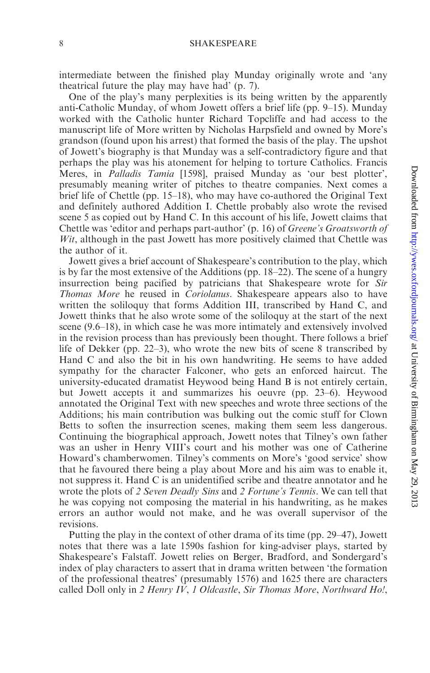intermediate between the finished play Munday originally wrote and 'any theatrical future the play may have had' (p. 7).

One of the play's many perplexities is its being written by the apparently anti-Catholic Munday, of whom Jowett offers a brief life (pp. 9–15). Munday worked with the Catholic hunter Richard Topcliffe and had access to the manuscript life of More written by Nicholas Harpsfield and owned by More's grandson (found upon his arrest) that formed the basis of the play. The upshot of Jowett's biography is that Munday was a self-contradictory figure and that perhaps the play was his atonement for helping to torture Catholics. Francis Meres, in *Palladis Tamia* [1598], praised Munday as 'our best plotter', presumably meaning writer of pitches to theatre companies. Next comes a brief life of Chettle (pp. 15–18), who may have co-authored the Original Text and definitely authored Addition I. Chettle probably also wrote the revised scene 5 as copied out by Hand C. In this account of his life, Jowett claims that Chettle was 'editor and perhaps part-author' (p. 16) of Greene's Groatsworth of Wit, although in the past Jowett has more positively claimed that Chettle was the author of it.

Jowett gives a brief account of Shakespeare's contribution to the play, which is by far the most extensive of the Additions (pp. 18–22). The scene of a hungry insurrection being pacified by patricians that Shakespeare wrote for Sir Thomas More he reused in Coriolanus. Shakespeare appears also to have written the soliloquy that forms Addition III, transcribed by Hand C, and Jowett thinks that he also wrote some of the soliloquy at the start of the next scene (9.6–18), in which case he was more intimately and extensively involved in the revision process than has previously been thought. There follows a brief life of Dekker (pp. 22–3), who wrote the new bits of scene 8 transcribed by Hand C and also the bit in his own handwriting. He seems to have added sympathy for the character Falconer, who gets an enforced haircut. The university-educated dramatist Heywood being Hand B is not entirely certain, but Jowett accepts it and summarizes his oeuvre (pp. 23–6). Heywood annotated the Original Text with new speeches and wrote three sections of the Additions; his main contribution was bulking out the comic stuff for Clown Betts to soften the insurrection scenes, making them seem less dangerous. Continuing the biographical approach, Jowett notes that Tilney's own father was an usher in Henry VIII's court and his mother was one of Catherine Howard's chamberwomen. Tilney's comments on More's 'good service' show that he favoured there being a play about More and his aim was to enable it, not suppress it. Hand C is an unidentified scribe and theatre annotator and he wrote the plots of 2 Seven Deadly Sins and 2 Fortune's Tennis. We can tell that he was copying not composing the material in his handwriting, as he makes errors an author would not make, and he was overall supervisor of the revisions.

Putting the play in the context of other drama of its time (pp. 29–47), Jowett notes that there was a late 1590s fashion for king-adviser plays, started by Shakespeare's Falstaff. Jowett relies on Berger, Bradford, and Sondergard's index of play characters to assert that in drama written between 'the formation of the professional theatres' (presumably 1576) and 1625 there are characters called Doll only in 2 Henry IV, 1 Oldcastle, Sir Thomas More, Northward Ho!,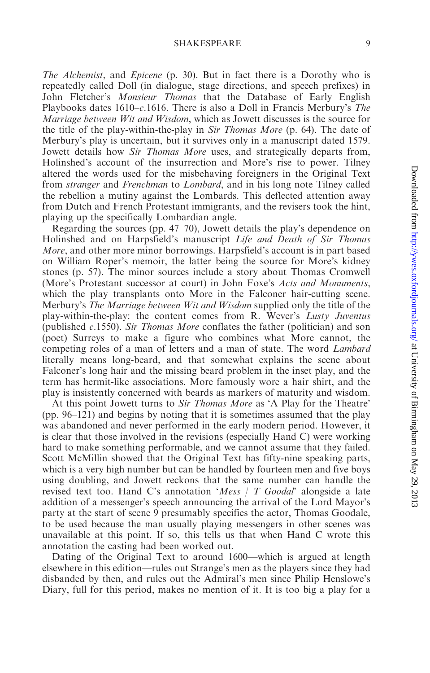The Alchemist, and Epicene (p. 30). But in fact there is a Dorothy who is repeatedly called Doll (in dialogue, stage directions, and speech prefixes) in John Fletcher's *Monsieur Thomas* that the Database of Early English Playbooks dates 1610–c.1616. There is also a Doll in Francis Merbury's The Marriage between Wit and Wisdom, which as Jowett discusses is the source for the title of the play-within-the-play in Sir Thomas More (p. 64). The date of Merbury's play is uncertain, but it survives only in a manuscript dated 1579. Jowett details how Sir Thomas More uses, and strategically departs from, Holinshed's account of the insurrection and More's rise to power. Tilney altered the words used for the misbehaving foreigners in the Original Text from stranger and Frenchman to Lombard, and in his long note Tilney called the rebellion a mutiny against the Lombards. This deflected attention away from Dutch and French Protestant immigrants, and the revisers took the hint, playing up the specifically Lombardian angle.

Regarding the sources (pp. 47–70), Jowett details the play's dependence on Holinshed and on Harpsfield's manuscript Life and Death of Sir Thomas More, and other more minor borrowings. Harpsfield's account is in part based on William Roper's memoir, the latter being the source for More's kidney stones (p. 57). The minor sources include a story about Thomas Cromwell (More's Protestant successor at court) in John Foxe's Acts and Monuments, which the play transplants onto More in the Falconer hair-cutting scene. Merbury's The Marriage between Wit and Wisdom supplied only the title of the play-within-the-play: the content comes from R. Wever's Lusty Juventus (published  $c.1550$ ). Sir Thomas More conflates the father (politician) and son (poet) Surreys to make a figure who combines what More cannot, the competing roles of a man of letters and a man of state. The word *Lambard* literally means long-beard, and that somewhat explains the scene about Falconer's long hair and the missing beard problem in the inset play, and the term has hermit-like associations. More famously wore a hair shirt, and the play is insistently concerned with beards as markers of maturity and wisdom.

At this point Jowett turns to Sir Thomas More as 'A Play for the Theatre'  $(pp. 96-121)$  and begins by noting that it is sometimes assumed that the play was abandoned and never performed in the early modern period. However, it is clear that those involved in the revisions (especially Hand C) were working hard to make something performable, and we cannot assume that they failed. Scott McMillin showed that the Original Text has fifty-nine speaking parts, which is a very high number but can be handled by fourteen men and five boys using doubling, and Jowett reckons that the same number can handle the revised text too. Hand C's annotation 'Mess / T Goodal' alongside a late addition of a messenger's speech announcing the arrival of the Lord Mayor's party at the start of scene 9 presumably specifies the actor, Thomas Goodale, to be used because the man usually playing messengers in other scenes was unavailable at this point. If so, this tells us that when Hand C wrote this annotation the casting had been worked out.

Dating of the Original Text to around 1600—which is argued at length elsewhere in this edition—rules out Strange's men as the players since they had disbanded by then, and rules out the Admiral's men since Philip Henslowe's Diary, full for this period, makes no mention of it. It is too big a play for a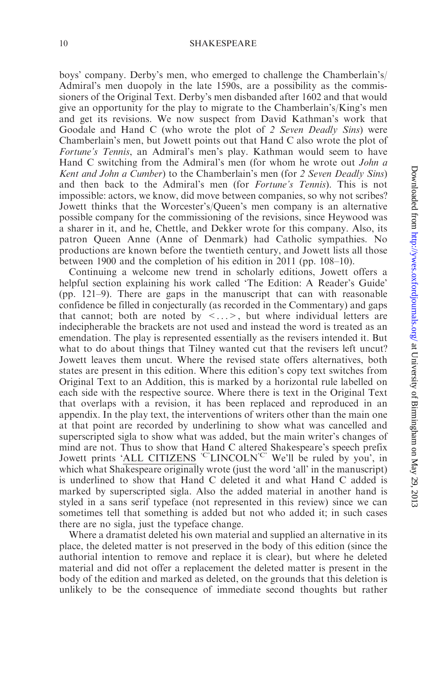boys' company. Derby's men, who emerged to challenge the Chamberlain's/ Admiral's men duopoly in the late 1590s, are a possibility as the commissioners of the Original Text. Derby's men disbanded after 1602 and that would give an opportunity for the play to migrate to the Chamberlain's/King's men and get its revisions. We now suspect from David Kathman's work that Goodale and Hand C (who wrote the plot of 2 Seven Deadly Sins) were Chamberlain's men, but Jowett points out that Hand C also wrote the plot of Fortune's Tennis, an Admiral's men's play. Kathman would seem to have Hand C switching from the Admiral's men (for whom he wrote out *John a* Kent and John a Cumber) to the Chamberlain's men (for 2 Seven Deadly Sins) and then back to the Admiral's men (for *Fortune's Tennis*). This is not impossible: actors, we know, did move between companies, so why not scribes? Jowett thinks that the Worcester's/Queen's men company is an alternative possible company for the commissioning of the revisions, since Heywood was a sharer in it, and he, Chettle, and Dekker wrote for this company. Also, its patron Queen Anne (Anne of Denmark) had Catholic sympathies. No productions are known before the twentieth century, and Jowett lists all those between 1900 and the completion of his edition in 2011 (pp. 108–10).

Continuing a welcome new trend in scholarly editions, Jowett offers a helpful section explaining his work called 'The Edition: A Reader's Guide' (pp. 121–9). There are gaps in the manuscript that can with reasonable confidence be filled in conjecturally (as recorded in the Commentary) and gaps that cannot; both are noted by  $\leq ... \geq$ , but where individual letters are indecipherable the brackets are not used and instead the word is treated as an emendation. The play is represented essentially as the revisers intended it. But what to do about things that Tilney wanted cut that the revisers left uncut? Jowett leaves them uncut. Where the revised state offers alternatives, both states are present in this edition. Where this edition's copy text switches from Original Text to an Addition, this is marked by a horizontal rule labelled on each side with the respective source. Where there is text in the Original Text that overlaps with a revision, it has been replaced and reproduced in an appendix. In the play text, the interventions of writers other than the main one at that point are recorded by underlining to show what was cancelled and superscripted sigla to show what was added, but the main writer's changes of mind are not. Thus to show that Hand C altered Shakespeare's speech prefix Jowett prints 'ALL CITIZENS 'CLINCOLN<sup>'C'</sup> We'll be ruled by you', in which what Shakespeare originally wrote (just the word 'all' in the manuscript) is underlined to show that Hand C deleted it and what Hand C added is marked by superscripted sigla. Also the added material in another hand is styled in a sans serif typeface (not represented in this review) since we can sometimes tell that something is added but not who added it; in such cases there are no sigla, just the typeface change.

Where a dramatist deleted his own material and supplied an alternative in its place, the deleted matter is not preserved in the body of this edition (since the authorial intention to remove and replace it is clear), but where he deleted material and did not offer a replacement the deleted matter is present in the body of the edition and marked as deleted, on the grounds that this deletion is unlikely to be the consequence of immediate second thoughts but rather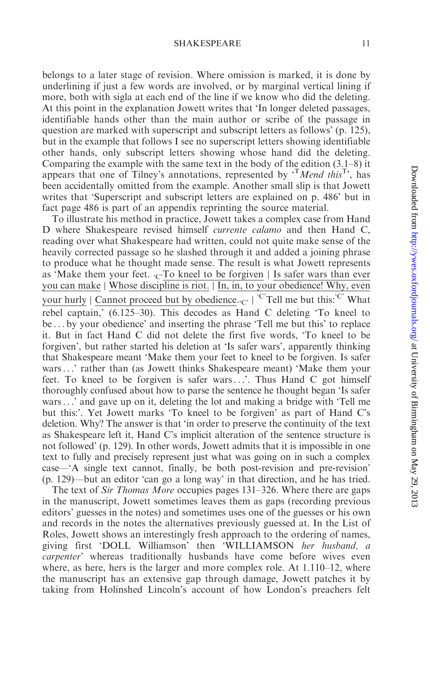belongs to a later stage of revision. Where omission is marked, it is done by underlining if just a few words are involved, or by marginal vertical lining if more, both with sigla at each end of the line if we know who did the deleting. At this point in the explanation Jowett writes that 'In longer deleted passages, identifiable hands other than the main author or scribe of the passage in question are marked with superscript and subscript letters as follows' (p. 125), but in the example that follows I see no superscript letters showing identifiable other hands, only subscript letters showing whose hand did the deleting. Comparing the example with the same text in the body of the edition  $(3.1-8)$  it appears that one of Tilney's annotations, represented by  $\mathrm{d}^T M$ *end this*<sup>T</sup>, has been accidentally omitted from the example. Another small slip is that Jowett writes that 'Superscript and subscript letters are explained on p. 486' but in fact page 486 is part of an appendix reprinting the source material.

To illustrate his method in practice, Jowett takes a complex case from Hand D where Shakespeare revised himself currente calamo and then Hand C, reading over what Shakespeare had written, could not quite make sense of the heavily corrected passage so he slashed through it and added a joining phrase to produce what he thought made sense. The result is what Jowett represents as 'Make them your feet.  $\overline{\text{c\_To}}$  kneel to be forgiven | Is safer wars than ever you can make | Whose discipline is riot. | In, in, to your obedience! Why, even your hurly | Cannot proceed but by obedience. $\overline{C}$  |  $\overline{C}$ Tell me but this: $\overline{C}$  What rebel captain,' (6.125–30). This decodes as Hand C deleting 'To kneel to be ... by your obedience' and inserting the phrase 'Tell me but this' to replace it. But in fact Hand C did not delete the first five words, 'To kneel to be forgiven', but rather started his deletion at 'Is safer wars', apparently thinking that Shakespeare meant 'Make them your feet to kneel to be forgiven. Is safer wars...' rather than (as Jowett thinks Shakespeare meant) 'Make them your feet. To kneel to be forgiven is safer wars...'. Thus Hand C got himself thoroughly confused about how to parse the sentence he thought began 'Is safer wars...' and gave up on it, deleting the lot and making a bridge with 'Tell me but this:'. Yet Jowett marks 'To kneel to be forgiven' as part of Hand C's deletion. Why? The answer is that 'in order to preserve the continuity of the text as Shakespeare left it, Hand C's implicit alteration of the sentence structure is not followed' (p. 129). In other words, Jowett admits that it is impossible in one text to fully and precisely represent just what was going on in such a complex case—'A single text cannot, finally, be both post-revision and pre-revision' (p. 129)—but an editor 'can go a long way' in that direction, and he has tried.

The text of Sir Thomas More occupies pages 131–326. Where there are gaps in the manuscript, Jowett sometimes leaves them as gaps (recording previous editors' guesses in the notes) and sometimes uses one of the guesses or his own and records in the notes the alternatives previously guessed at. In the List of Roles, Jowett shows an interestingly fresh approach to the ordering of names, giving first 'DOLL Williamson' then 'WILLIAMSON her husband, a carpenter' whereas traditionally husbands have come before wives even where, as here, hers is the larger and more complex role. At 1.110–12, where the manuscript has an extensive gap through damage, Jowett patches it by taking from Holinshed Lincoln's account of how London's preachers felt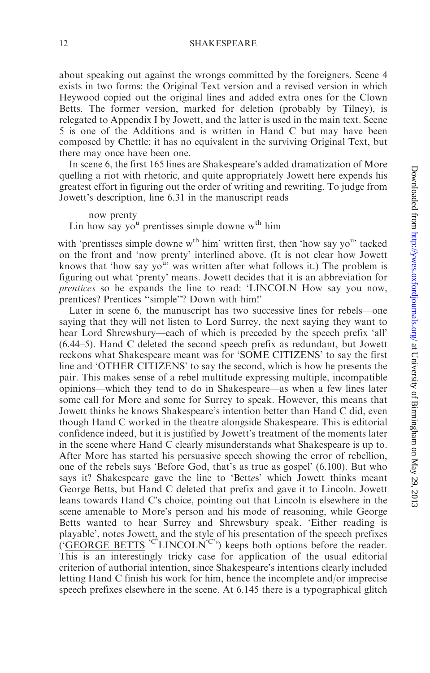about speaking out against the wrongs committed by the foreigners. Scene 4 exists in two forms: the Original Text version and a revised version in which Heywood copied out the original lines and added extra ones for the Clown Betts. The former version, marked for deletion (probably by Tilney), is relegated to Appendix I by Jowett, and the latter is used in the main text. Scene 5 is one of the Additions and is written in Hand C but may have been composed by Chettle; it has no equivalent in the surviving Original Text, but there may once have been one.

In scene 6, the first 165 lines are Shakespeare's added dramatization of More quelling a riot with rhetoric, and quite appropriately Jowett here expends his greatest effort in figuring out the order of writing and rewriting. To judge from Jowett's description, line 6.31 in the manuscript reads

now prenty Lin how say you prentisses simple downe  $w<sup>th</sup>$  him

with 'prentisses simple downe  $w<sup>th</sup>$  him' written first, then 'how say yo<sup>u</sup>' tacked on the front and 'now prenty' interlined above. (It is not clear how Jowett knows that 'how say yo<sup>u,</sup> was written after what follows it.) The problem is figuring out what 'prenty' means. Jowett decides that it is an abbreviation for prentices so he expands the line to read: 'LINCOLN How say you now, prentices? Prentices ''simple''? Down with him!'

Later in scene 6, the manuscript has two successive lines for rebels—one saying that they will not listen to Lord Surrey, the next saying they want to hear Lord Shrewsbury—each of which is preceded by the speech prefix 'all' (6.44–5). Hand C deleted the second speech prefix as redundant, but Jowett reckons what Shakespeare meant was for 'SOME CITIZENS' to say the first line and 'OTHER CITIZENS' to say the second, which is how he presents the pair. This makes sense of a rebel multitude expressing multiple, incompatible opinions—which they tend to do in Shakespeare—as when a few lines later some call for More and some for Surrey to speak. However, this means that Jowett thinks he knows Shakespeare's intention better than Hand C did, even though Hand C worked in the theatre alongside Shakespeare. This is editorial confidence indeed, but it is justified by Jowett's treatment of the moments later in the scene where Hand C clearly misunderstands what Shakespeare is up to. After More has started his persuasive speech showing the error of rebellion, one of the rebels says 'Before God, that's as true as gospel' (6.100). But who says it? Shakespeare gave the line to 'Bettes' which Jowett thinks meant George Betts, but Hand C deleted that prefix and gave it to Lincoln. Jowett leans towards Hand C's choice, pointing out that Lincoln is elsewhere in the scene amenable to More's person and his mode of reasoning, while George Betts wanted to hear Surrey and Shrewsbury speak. 'Either reading is playable', notes Jowett, and the style of his presentation of the speech prefixes ('GEORGE BETTS <sup>'C'</sup>LINCOLN<sup>'C</sup>') keeps both options before the reader. This is an interestingly tricky case for application of the usual editorial criterion of authorial intention, since Shakespeare's intentions clearly included letting Hand C finish his work for him, hence the incomplete and/or imprecise speech prefixes elsewhere in the scene. At 6.145 there is a typographical glitch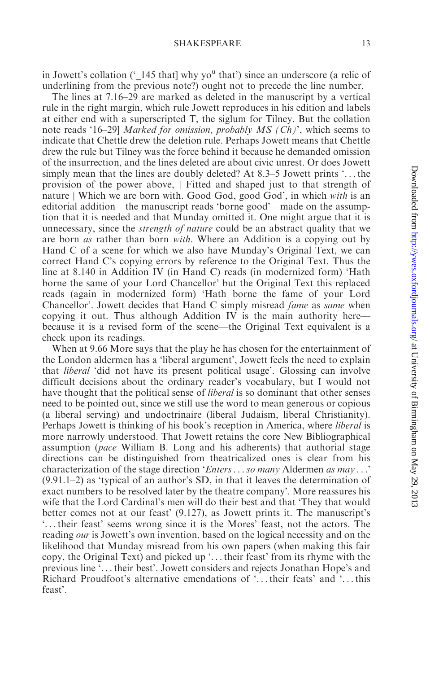in Jowett's collation ('\_145 that] why yo<sup>u</sup> that') since an underscore (a relic of underlining from the previous note?) ought not to precede the line number.

The lines at 7.16–29 are marked as deleted in the manuscript by a vertical rule in the right margin, which rule Jowett reproduces in his edition and labels at either end with a superscripted T, the siglum for Tilney. But the collation note reads '16–29] Marked for omission, probably MS (Ch)', which seems to indicate that Chettle drew the deletion rule. Perhaps Jowett means that Chettle drew the rule but Tilney was the force behind it because he demanded omission of the insurrection, and the lines deleted are about civic unrest. Or does Jowett simply mean that the lines are doubly deleted? At 8.3–5 Jowett prints '...the provision of the power above, | Fitted and shaped just to that strength of nature | Which we are born with. Good God, good God', in which with is an editorial addition—the manuscript reads 'borne good'—made on the assumption that it is needed and that Munday omitted it. One might argue that it is unnecessary, since the *strength of nature* could be an abstract quality that we are born as rather than born with. Where an Addition is a copying out by Hand C of a scene for which we also have Munday's Original Text, we can correct Hand C's copying errors by reference to the Original Text. Thus the line at 8.140 in Addition IV (in Hand C) reads (in modernized form) 'Hath borne the same of your Lord Chancellor' but the Original Text this replaced reads (again in modernized form) 'Hath borne the fame of your Lord Chancellor'. Jowett decides that Hand C simply misread fame as same when copying it out. Thus although Addition IV is the main authority here because it is a revised form of the scene—the Original Text equivalent is a check upon its readings.

When at 9.66 More says that the play he has chosen for the entertainment of the London aldermen has a 'liberal argument', Jowett feels the need to explain that liberal 'did not have its present political usage'. Glossing can involve difficult decisions about the ordinary reader's vocabulary, but I would not have thought that the political sense of *liberal* is so dominant that other senses need to be pointed out, since we still use the word to mean generous or copious (a liberal serving) and undoctrinaire (liberal Judaism, liberal Christianity). Perhaps Jowett is thinking of his book's reception in America, where liberal is more narrowly understood. That Jowett retains the core New Bibliographical assumption (pace William B. Long and his adherents) that authorial stage directions can be distinguished from theatricalized ones is clear from his characterization of the stage direction 'Enters...so many Aldermen as may ...' (9.91.1–2) as 'typical of an author's SD, in that it leaves the determination of exact numbers to be resolved later by the theatre company'. More reassures his wife that the Lord Cardinal's men will do their best and that 'They that would better comes not at our feast' (9.127), as Jowett prints it. The manuscript's '...their feast' seems wrong since it is the Mores' feast, not the actors. The reading *our* is Jowett's own invention, based on the logical necessity and on the likelihood that Munday misread from his own papers (when making this fair copy, the Original Text) and picked up '... their feast' from its rhyme with the previous line '...their best'. Jowett considers and rejects Jonathan Hope's and Richard Proudfoot's alternative emendations of '...their feats' and '... this feast'.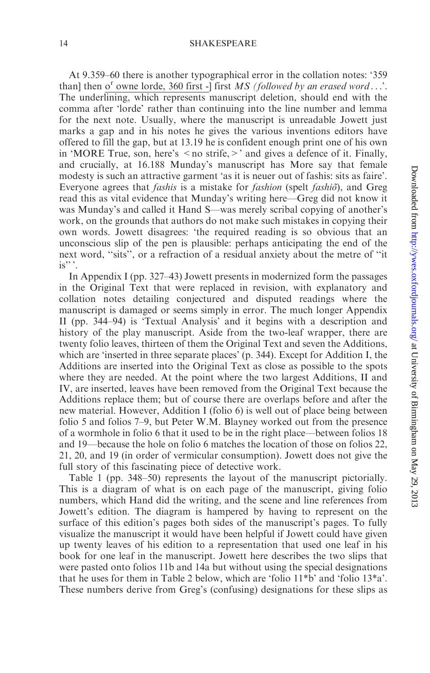At 9.359–60 there is another typographical error in the collation notes: '359 than] then  $o^r$  owne lorde, 360 first -] first MS (followed by an erased word...'. The underlining, which represents manuscript deletion, should end with the comma after 'lorde' rather than continuing into the line number and lemma for the next note. Usually, where the manuscript is unreadable Jowett just marks a gap and in his notes he gives the various inventions editors have offered to fill the gap, but at 13.19 he is confident enough print one of his own in 'MORE True, son, here's  $\leq$  no strife,  $\geq$  and gives a defence of it. Finally, and crucially, at 16.188 Munday's manuscript has More say that female modesty is such an attractive garment 'as it is neuer out of fashis: sits as faire'. Everyone agrees that *fashis* is a mistake for *fashion* (spelt *fashio*), and Greg read this as vital evidence that Munday's writing here—Greg did not know it was Munday's and called it Hand S—was merely scribal copying of another's work, on the grounds that authors do not make such mistakes in copying their own words. Jowett disagrees: 'the required reading is so obvious that an unconscious slip of the pen is plausible: perhaps anticipating the end of the next word, ''sits'', or a refraction of a residual anxiety about the metre of ''it  $is''$  '.

In Appendix I (pp. 327–43) Jowett presents in modernized form the passages in the Original Text that were replaced in revision, with explanatory and collation notes detailing conjectured and disputed readings where the manuscript is damaged or seems simply in error. The much longer Appendix II (pp. 344–94) is 'Textual Analysis' and it begins with a description and history of the play manuscript. Aside from the two-leaf wrapper, there are twenty folio leaves, thirteen of them the Original Text and seven the Additions, which are 'inserted in three separate places' (p. 344). Except for Addition I, the Additions are inserted into the Original Text as close as possible to the spots where they are needed. At the point where the two largest Additions, II and IV, are inserted, leaves have been removed from the Original Text because the Additions replace them; but of course there are overlaps before and after the new material. However, Addition I (folio 6) is well out of place being between folio 5 and folios 7–9, but Peter W.M. Blayney worked out from the presence of a wormhole in folio 6 that it used to be in the right place—between folios 18 and 19—because the hole on folio 6 matches the location of those on folios 22, 21, 20, and 19 (in order of vermicular consumption). Jowett does not give the full story of this fascinating piece of detective work.

Table 1 (pp. 348–50) represents the layout of the manuscript pictorially. This is a diagram of what is on each page of the manuscript, giving folio numbers, which Hand did the writing, and the scene and line references from Jowett's edition. The diagram is hampered by having to represent on the surface of this edition's pages both sides of the manuscript's pages. To fully visualize the manuscript it would have been helpful if Jowett could have given up twenty leaves of his edition to a representation that used one leaf in his book for one leaf in the manuscript. Jowett here describes the two slips that were pasted onto folios 11b and 14a but without using the special designations that he uses for them in Table 2 below, which are 'folio 11\*b' and 'folio 13\*a'. These numbers derive from Greg's (confusing) designations for these slips as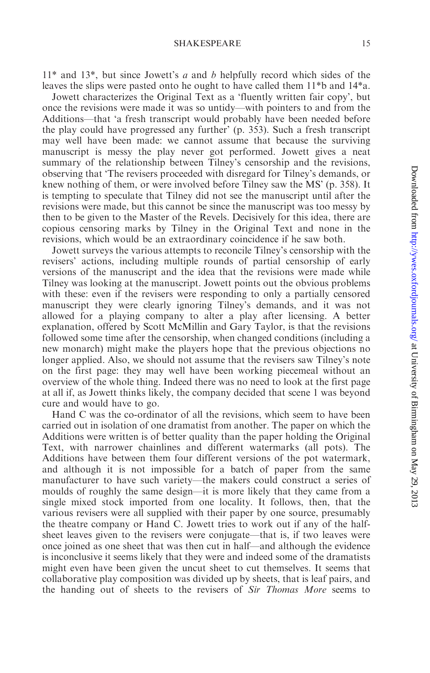$11*$  and  $13*$ , but since Jowett's a and b helpfully record which sides of the leaves the slips were pasted onto he ought to have called them 11\*b and 14\*a.

Jowett characterizes the Original Text as a 'fluently written fair copy', but once the revisions were made it was so untidy—with pointers to and from the Additions—that 'a fresh transcript would probably have been needed before the play could have progressed any further' (p. 353). Such a fresh transcript may well have been made: we cannot assume that because the surviving manuscript is messy the play never got performed. Jowett gives a neat summary of the relationship between Tilney's censorship and the revisions, observing that 'The revisers proceeded with disregard for Tilney's demands, or knew nothing of them, or were involved before Tilney saw the MS' (p. 358). It is tempting to speculate that Tilney did not see the manuscript until after the revisions were made, but this cannot be since the manuscript was too messy by then to be given to the Master of the Revels. Decisively for this idea, there are copious censoring marks by Tilney in the Original Text and none in the revisions, which would be an extraordinary coincidence if he saw both.

Jowett surveys the various attempts to reconcile Tilney's censorship with the revisers' actions, including multiple rounds of partial censorship of early versions of the manuscript and the idea that the revisions were made while Tilney was looking at the manuscript. Jowett points out the obvious problems with these: even if the revisers were responding to only a partially censored manuscript they were clearly ignoring Tilney's demands, and it was not allowed for a playing company to alter a play after licensing. A better explanation, offered by Scott McMillin and Gary Taylor, is that the revisions followed some time after the censorship, when changed conditions (including a new monarch) might make the players hope that the previous objections no longer applied. Also, we should not assume that the revisers saw Tilney's note on the first page: they may well have been working piecemeal without an overview of the whole thing. Indeed there was no need to look at the first page at all if, as Jowett thinks likely, the company decided that scene 1 was beyond cure and would have to go.

Hand C was the co-ordinator of all the revisions, which seem to have been carried out in isolation of one dramatist from another. The paper on which the Additions were written is of better quality than the paper holding the Original Text, with narrower chainlines and different watermarks (all pots). The Additions have between them four different versions of the pot watermark, and although it is not impossible for a batch of paper from the same manufacturer to have such variety—the makers could construct a series of moulds of roughly the same design—it is more likely that they came from a single mixed stock imported from one locality. It follows, then, that the various revisers were all supplied with their paper by one source, presumably the theatre company or Hand C. Jowett tries to work out if any of the halfsheet leaves given to the revisers were conjugate—that is, if two leaves were once joined as one sheet that was then cut in half—and although the evidence is inconclusive it seems likely that they were and indeed some of the dramatists might even have been given the uncut sheet to cut themselves. It seems that collaborative play composition was divided up by sheets, that is leaf pairs, and the handing out of sheets to the revisers of Sir Thomas More seems to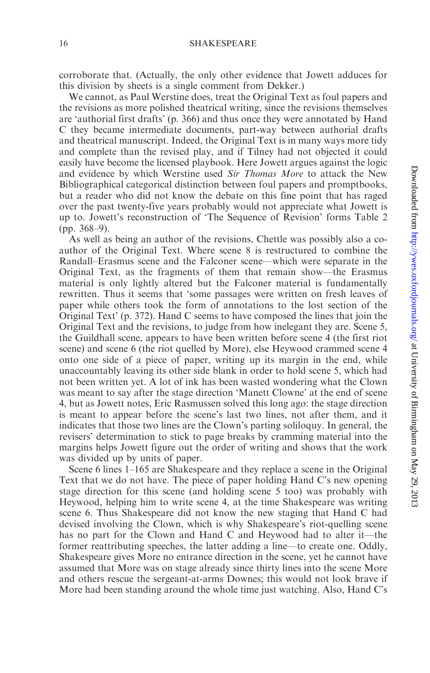corroborate that. (Actually, the only other evidence that Jowett adduces for this division by sheets is a single comment from Dekker.)

We cannot, as Paul Werstine does, treat the Original Text as foul papers and the revisions as more polished theatrical writing, since the revisions themselves are 'authorial first drafts' (p. 366) and thus once they were annotated by Hand C they became intermediate documents, part-way between authorial drafts and theatrical manuscript. Indeed, the Original Text is in many ways more tidy and complete than the revised play, and if Tilney had not objected it could easily have become the licensed playbook. Here Jowett argues against the logic and evidence by which Werstine used Sir Thomas More to attack the New Bibliographical categorical distinction between foul papers and promptbooks, but a reader who did not know the debate on this fine point that has raged over the past twenty-five years probably would not appreciate what Jowett is up to. Jowett's reconstruction of 'The Sequence of Revision' forms Table 2 (pp. 368–9).

As well as being an author of the revisions, Chettle was possibly also a coauthor of the Original Text. Where scene 8 is restructured to combine the Randall–Erasmus scene and the Falconer scene—which were separate in the Original Text, as the fragments of them that remain show—the Erasmus material is only lightly altered but the Falconer material is fundamentally rewritten. Thus it seems that 'some passages were written on fresh leaves of paper while others took the form of annotations to the lost section of the Original Text' (p. 372). Hand C seems to have composed the lines that join the Original Text and the revisions, to judge from how inelegant they are. Scene 5, the Guildhall scene, appears to have been written before scene 4 (the first riot scene) and scene 6 (the riot quelled by More), else Heywood crammed scene 4 onto one side of a piece of paper, writing up its margin in the end, while unaccountably leaving its other side blank in order to hold scene 5, which had not been written yet. A lot of ink has been wasted wondering what the Clown was meant to say after the stage direction 'Manett Clowne' at the end of scene 4, but as Jowett notes, Eric Rasmussen solved this long ago: the stage direction is meant to appear before the scene's last two lines, not after them, and it indicates that those two lines are the Clown's parting soliloquy. In general, the revisers' determination to stick to page breaks by cramming material into the margins helps Jowett figure out the order of writing and shows that the work was divided up by units of paper.

Scene 6 lines 1–165 are Shakespeare and they replace a scene in the Original Text that we do not have. The piece of paper holding Hand C's new opening stage direction for this scene (and holding scene 5 too) was probably with Heywood, helping him to write scene 4, at the time Shakespeare was writing scene 6. Thus Shakespeare did not know the new staging that Hand C had devised involving the Clown, which is why Shakespeare's riot-quelling scene has no part for the Clown and Hand C and Heywood had to alter it—the former reattributing speeches, the latter adding a line—to create one. Oddly, Shakespeare gives More no entrance direction in the scene, yet he cannot have assumed that More was on stage already since thirty lines into the scene More and others rescue the sergeant-at-arms Downes; this would not look brave if More had been standing around the whole time just watching. Also, Hand C's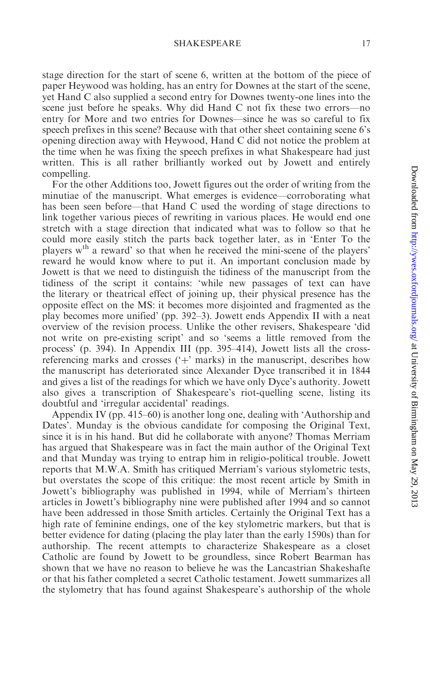stage direction for the start of scene 6, written at the bottom of the piece of paper Heywood was holding, has an entry for Downes at the start of the scene, yet Hand C also supplied a second entry for Downes twenty-one lines into the scene just before he speaks. Why did Hand C not fix these two errors—no entry for More and two entries for Downes—since he was so careful to fix speech prefixes in this scene? Because with that other sheet containing scene 6's opening direction away with Heywood, Hand C did not notice the problem at the time when he was fixing the speech prefixes in what Shakespeare had just written. This is all rather brilliantly worked out by Jowett and entirely compelling.

For the other Additions too, Jowett figures out the order of writing from the minutiae of the manuscript. What emerges is evidence—corroborating what has been seen before—that Hand C used the wording of stage directions to link together various pieces of rewriting in various places. He would end one stretch with a stage direction that indicated what was to follow so that he could more easily stitch the parts back together later, as in 'Enter To the players wth a reward' so that when he received the mini-scene of the players' reward he would know where to put it. An important conclusion made by Jowett is that we need to distinguish the tidiness of the manuscript from the tidiness of the script it contains: 'while new passages of text can have the literary or theatrical effect of joining up, their physical presence has the opposite effect on the MS: it becomes more disjointed and fragmented as the play becomes more unified' (pp. 392–3). Jowett ends Appendix II with a neat overview of the revision process. Unlike the other revisers, Shakespeare 'did not write on pre-existing script' and so 'seems a little removed from the process' (p. 394). In Appendix III (pp. 395–414), Jowett lists all the crossreferencing marks and crosses  $(+')$  marks) in the manuscript, describes how the manuscript has deteriorated since Alexander Dyce transcribed it in 1844 and gives a list of the readings for which we have only Dyce's authority. Jowett also gives a transcription of Shakespeare's riot-quelling scene, listing its doubtful and 'irregular accidental' readings.

Appendix IV (pp. 415–60) is another long one, dealing with 'Authorship and Dates'. Munday is the obvious candidate for composing the Original Text, since it is in his hand. But did he collaborate with anyone? Thomas Merriam has argued that Shakespeare was in fact the main author of the Original Text and that Munday was trying to entrap him in religio-political trouble. Jowett reports that M.W.A. Smith has critiqued Merriam's various stylometric tests, but overstates the scope of this critique: the most recent article by Smith in Jowett's bibliography was published in 1994, while of Merriam's thirteen articles in Jowett's bibliography nine were published after 1994 and so cannot have been addressed in those Smith articles. Certainly the Original Text has a high rate of feminine endings, one of the key stylometric markers, but that is better evidence for dating (placing the play later than the early 1590s) than for authorship. The recent attempts to characterize Shakespeare as a closet Catholic are found by Jowett to be groundless, since Robert Bearman has shown that we have no reason to believe he was the Lancastrian Shakeshafte or that his father completed a secret Catholic testament. Jowett summarizes all the stylometry that has found against Shakespeare's authorship of the whole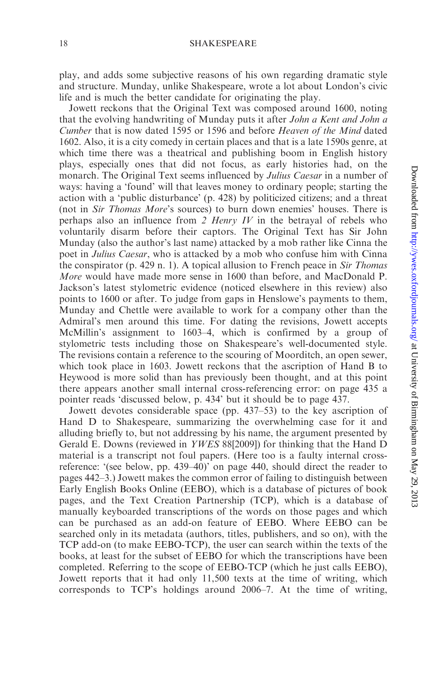play, and adds some subjective reasons of his own regarding dramatic style and structure. Munday, unlike Shakespeare, wrote a lot about London's civic life and is much the better candidate for originating the play.

Jowett reckons that the Original Text was composed around 1600, noting that the evolving handwriting of Munday puts it after *John a Kent and John a* Cumber that is now dated 1595 or 1596 and before Heaven of the Mind dated 1602. Also, it is a city comedy in certain places and that is a late 1590s genre, at which time there was a theatrical and publishing boom in English history plays, especially ones that did not focus, as early histories had, on the monarch. The Original Text seems influenced by Julius Caesar in a number of ways: having a 'found' will that leaves money to ordinary people; starting the action with a 'public disturbance' (p. 428) by politicized citizens; and a threat (not in Sir Thomas More's sources) to burn down enemies' houses. There is perhaps also an influence from  $2$  Henry IV in the betrayal of rebels who voluntarily disarm before their captors. The Original Text has Sir John Munday (also the author's last name) attacked by a mob rather like Cinna the poet in Julius Caesar, who is attacked by a mob who confuse him with Cinna the conspirator (p. 429 n. 1). A topical allusion to French peace in Sir Thomas More would have made more sense in 1600 than before, and MacDonald P. Jackson's latest stylometric evidence (noticed elsewhere in this review) also points to 1600 or after. To judge from gaps in Henslowe's payments to them, Munday and Chettle were available to work for a company other than the Admiral's men around this time. For dating the revisions, Jowett accepts McMillin's assignment to 1603–4, which is confirmed by a group of stylometric tests including those on Shakespeare's well-documented style. The revisions contain a reference to the scouring of Moorditch, an open sewer, which took place in 1603. Jowett reckons that the ascription of Hand B to Heywood is more solid than has previously been thought, and at this point there appears another small internal cross-referencing error: on page 435 a pointer reads 'discussed below, p. 434' but it should be to page 437.

Jowett devotes considerable space (pp. 437–53) to the key ascription of Hand D to Shakespeare, summarizing the overwhelming case for it and alluding briefly to, but not addressing by his name, the argument presented by Gerald E. Downs (reviewed in YWES 88[2009]) for thinking that the Hand D material is a transcript not foul papers. (Here too is a faulty internal crossreference: '(see below, pp. 439–40)' on page 440, should direct the reader to pages 442–3.) Jowett makes the common error of failing to distinguish between Early English Books Online (EEBO), which is a database of pictures of book pages, and the Text Creation Partnership (TCP), which is a database of manually keyboarded transcriptions of the words on those pages and which can be purchased as an add-on feature of EEBO. Where EEBO can be searched only in its metadata (authors, titles, publishers, and so on), with the TCP add-on (to make EEBO-TCP), the user can search within the texts of the books, at least for the subset of EEBO for which the transcriptions have been completed. Referring to the scope of EEBO-TCP (which he just calls EEBO), Jowett reports that it had only 11,500 texts at the time of writing, which corresponds to TCP's holdings around 2006–7. At the time of writing,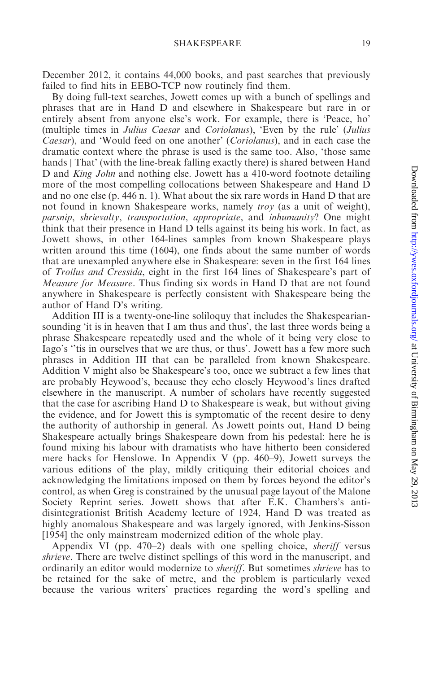December 2012, it contains 44,000 books, and past searches that previously failed to find hits in EEBO-TCP now routinely find them.

By doing full-text searches, Jowett comes up with a bunch of spellings and phrases that are in Hand D and elsewhere in Shakespeare but rare in or entirely absent from anyone else's work. For example, there is 'Peace, ho' (multiple times in Julius Caesar and Coriolanus), 'Even by the rule' (Julius Caesar), and 'Would feed on one another' (Coriolanus), and in each case the dramatic context where the phrase is used is the same too. Also, 'those same hands | That' (with the line-break falling exactly there) is shared between Hand D and *King John* and nothing else. Jowett has a 410-word footnote detailing more of the most compelling collocations between Shakespeare and Hand D and no one else (p. 446 n. 1). What about the six rare words in Hand D that are not found in known Shakespeare works, namely troy (as a unit of weight), parsnip, shrievalty, transportation, appropriate, and inhumanity? One might think that their presence in Hand D tells against its being his work. In fact, as Jowett shows, in other 164-lines samples from known Shakespeare plays written around this time (1604), one finds about the same number of words that are unexampled anywhere else in Shakespeare: seven in the first 164 lines of Troilus and Cressida, eight in the first 164 lines of Shakespeare's part of Measure for Measure. Thus finding six words in Hand D that are not found anywhere in Shakespeare is perfectly consistent with Shakespeare being the author of Hand D's writing.

Addition III is a twenty-one-line soliloquy that includes the Shakespeariansounding 'it is in heaven that I am thus and thus', the last three words being a phrase Shakespeare repeatedly used and the whole of it being very close to Iago's ''tis in ourselves that we are thus, or thus'. Jowett has a few more such phrases in Addition III that can be paralleled from known Shakespeare. Addition V might also be Shakespeare's too, once we subtract a few lines that are probably Heywood's, because they echo closely Heywood's lines drafted elsewhere in the manuscript. A number of scholars have recently suggested that the case for ascribing Hand D to Shakespeare is weak, but without giving the evidence, and for Jowett this is symptomatic of the recent desire to deny the authority of authorship in general. As Jowett points out, Hand D being Shakespeare actually brings Shakespeare down from his pedestal: here he is found mixing his labour with dramatists who have hitherto been considered mere hacks for Henslowe. In Appendix V (pp. 460–9), Jowett surveys the various editions of the play, mildly critiquing their editorial choices and acknowledging the limitations imposed on them by forces beyond the editor's control, as when Greg is constrained by the unusual page layout of the Malone Society Reprint series. Jowett shows that after E.K. Chambers's antidisintegrationist British Academy lecture of 1924, Hand D was treated as highly anomalous Shakespeare and was largely ignored, with Jenkins-Sisson [1954] the only mainstream modernized edition of the whole play.

Appendix VI (pp. 470–2) deals with one spelling choice, sheriff versus shrieve. There are twelve distinct spellings of this word in the manuscript, and ordinarily an editor would modernize to sheriff. But sometimes shrieve has to be retained for the sake of metre, and the problem is particularly vexed because the various writers' practices regarding the word's spelling and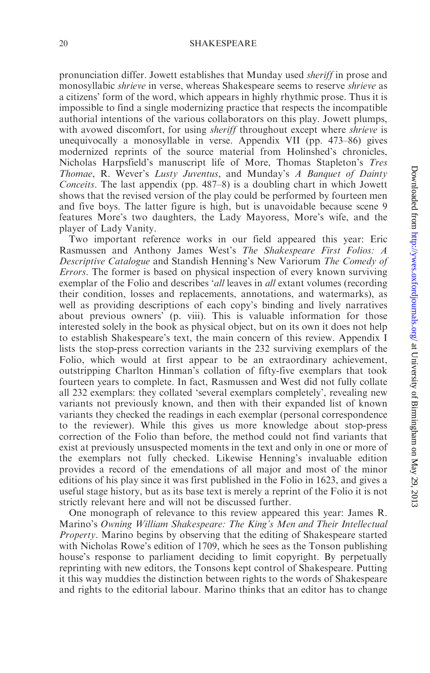pronunciation differ. Jowett establishes that Munday used sheriff in prose and monosyllabic shrieve in verse, whereas Shakespeare seems to reserve shrieve as a citizens' form of the word, which appears in highly rhythmic prose. Thus it is impossible to find a single modernizing practice that respects the incompatible authorial intentions of the various collaborators on this play. Jowett plumps, with avowed discomfort, for using *sheriff* throughout except where *shrieve* is unequivocally a monosyllable in verse. Appendix VII (pp. 473–86) gives modernized reprints of the source material from Holinshed's chronicles, Nicholas Harpsfield's manuscript life of More, Thomas Stapleton's Tres Thomae, R. Wever's Lusty Juventus, and Munday's A Banquet of Dainty Conceits. The last appendix (pp. 487–8) is a doubling chart in which Jowett shows that the revised version of the play could be performed by fourteen men and five boys. The latter figure is high, but is unavoidable because scene 9 features More's two daughters, the Lady Mayoress, More's wife, and the player of Lady Vanity.

Two important reference works in our field appeared this year: Eric Rasmussen and Anthony James West's The Shakespeare First Folios: A Descriptive Catalogue and Standish Henning's New Variorum The Comedy of Errors. The former is based on physical inspection of every known surviving exemplar of the Folio and describes 'all leaves in all extant volumes (recording their condition, losses and replacements, annotations, and watermarks), as well as providing descriptions of each copy's binding and lively narratives about previous owners' (p. viii). This is valuable information for those interested solely in the book as physical object, but on its own it does not help to establish Shakespeare's text, the main concern of this review. Appendix I lists the stop-press correction variants in the 232 surviving exemplars of the Folio, which would at first appear to be an extraordinary achievement, outstripping Charlton Hinman's collation of fifty-five exemplars that took fourteen years to complete. In fact, Rasmussen and West did not fully collate all 232 exemplars: they collated 'several exemplars completely', revealing new variants not previously known, and then with their expanded list of known variants they checked the readings in each exemplar (personal correspondence to the reviewer). While this gives us more knowledge about stop-press correction of the Folio than before, the method could not find variants that exist at previously unsuspected moments in the text and only in one or more of the exemplars not fully checked. Likewise Henning's invaluable edition provides a record of the emendations of all major and most of the minor editions of his play since it was first published in the Folio in 1623, and gives a useful stage history, but as its base text is merely a reprint of the Folio it is not strictly relevant here and will not be discussed further.

One monograph of relevance to this review appeared this year: James R. Marino's Owning William Shakespeare: The King's Men and Their Intellectual Property. Marino begins by observing that the editing of Shakespeare started with Nicholas Rowe's edition of 1709, which he sees as the Tonson publishing house's response to parliament deciding to limit copyright. By perpetually reprinting with new editors, the Tonsons kept control of Shakespeare. Putting it this way muddies the distinction between rights to the words of Shakespeare and rights to the editorial labour. Marino thinks that an editor has to change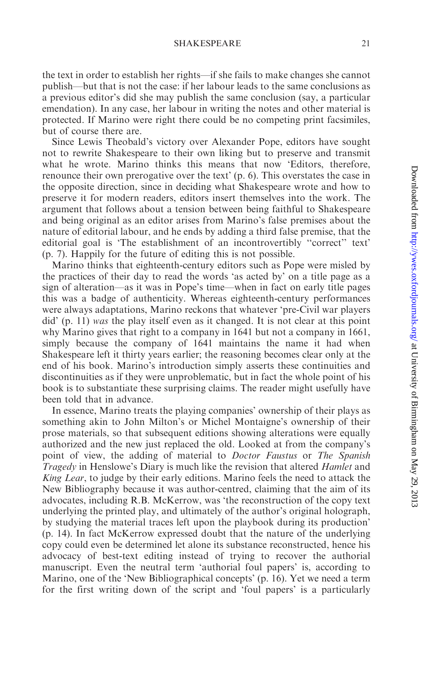the text in order to establish her rights—if she fails to make changes she cannot publish—but that is not the case: if her labour leads to the same conclusions as a previous editor's did she may publish the same conclusion (say, a particular emendation). In any case, her labour in writing the notes and other material is protected. If Marino were right there could be no competing print facsimiles, but of course there are.

Since Lewis Theobald's victory over Alexander Pope, editors have sought not to rewrite Shakespeare to their own liking but to preserve and transmit what he wrote. Marino thinks this means that now 'Editors, therefore, renounce their own prerogative over the text' (p. 6). This overstates the case in the opposite direction, since in deciding what Shakespeare wrote and how to preserve it for modern readers, editors insert themselves into the work. The argument that follows about a tension between being faithful to Shakespeare and being original as an editor arises from Marino's false premises about the nature of editorial labour, and he ends by adding a third false premise, that the editorial goal is 'The establishment of an incontrovertibly ''correct'' text' (p. 7). Happily for the future of editing this is not possible.

Marino thinks that eighteenth-century editors such as Pope were misled by the practices of their day to read the words 'as acted by' on a title page as a sign of alteration—as it was in Pope's time—when in fact on early title pages this was a badge of authenticity. Whereas eighteenth-century performances were always adaptations, Marino reckons that whatever 'pre-Civil war players did' (p. 11) was the play itself even as it changed. It is not clear at this point why Marino gives that right to a company in 1641 but not a company in 1661, simply because the company of 1641 maintains the name it had when Shakespeare left it thirty years earlier; the reasoning becomes clear only at the end of his book. Marino's introduction simply asserts these continuities and discontinuities as if they were unproblematic, but in fact the whole point of his book is to substantiate these surprising claims. The reader might usefully have been told that in advance.

In essence, Marino treats the playing companies' ownership of their plays as something akin to John Milton's or Michel Montaigne's ownership of their prose materials, so that subsequent editions showing alterations were equally authorized and the new just replaced the old. Looked at from the company's point of view, the adding of material to *Doctor Faustus* or *The Spanish Tragedy* in Henslowe's Diary is much like the revision that altered *Hamlet* and King Lear, to judge by their early editions. Marino feels the need to attack the New Bibliography because it was author-centred, claiming that the aim of its advocates, including R.B. McKerrow, was 'the reconstruction of the copy text underlying the printed play, and ultimately of the author's original holograph, by studying the material traces left upon the playbook during its production' (p. 14). In fact McKerrow expressed doubt that the nature of the underlying copy could even be determined let alone its substance reconstructed, hence his advocacy of best-text editing instead of trying to recover the authorial manuscript. Even the neutral term 'authorial foul papers' is, according to Marino, one of the 'New Bibliographical concepts' (p. 16). Yet we need a term for the first writing down of the script and 'foul papers' is a particularly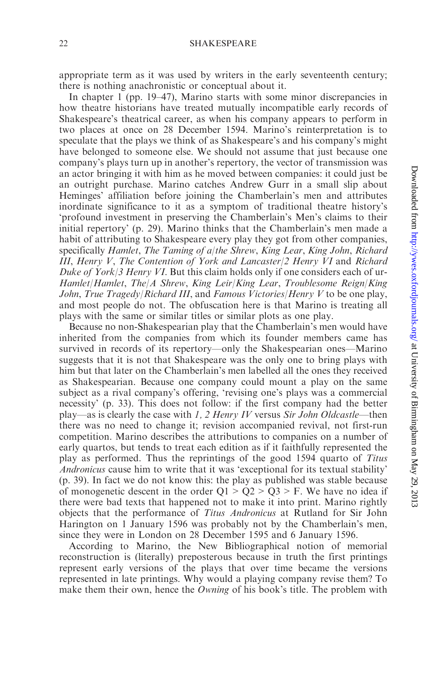appropriate term as it was used by writers in the early seventeenth century; there is nothing anachronistic or conceptual about it.

In chapter  $1$  (pp. 19–47), Marino starts with some minor discrepancies in how theatre historians have treated mutually incompatible early records of Shakespeare's theatrical career, as when his company appears to perform in two places at once on 28 December 1594. Marino's reinterpretation is to speculate that the plays we think of as Shakespeare's and his company's might have belonged to someone else. We should not assume that just because one company's plays turn up in another's repertory, the vector of transmission was an actor bringing it with him as he moved between companies: it could just be an outright purchase. Marino catches Andrew Gurr in a small slip about Heminges' affiliation before joining the Chamberlain's men and attributes inordinate significance to it as a symptom of traditional theatre history's 'profound investment in preserving the Chamberlain's Men's claims to their initial repertory' (p. 29). Marino thinks that the Chamberlain's men made a habit of attributing to Shakespeare every play they got from other companies, specifically Hamlet, The Taming of a/the Shrew, King Lear, King John, Richard III, Henry V, The Contention of York and Lancaster/2 Henry VI and Richard Duke of York/3 Henry VI. But this claim holds only if one considers each of ur-Hamlet/Hamlet, The/A Shrew, King Leir/King Lear, Troublesome Reign/King John, True Tragedy/Richard III, and Famous Victories/Henry V to be one play, and most people do not. The obfuscation here is that Marino is treating all plays with the same or similar titles or similar plots as one play.

Because no non-Shakespearian play that the Chamberlain's men would have inherited from the companies from which its founder members came has survived in records of its repertory—only the Shakespearian ones—Marino suggests that it is not that Shakespeare was the only one to bring plays with him but that later on the Chamberlain's men labelled all the ones they received as Shakespearian. Because one company could mount a play on the same subject as a rival company's offering, 'revising one's plays was a commercial necessity' (p. 33). This does not follow: if the first company had the better play—as is clearly the case with 1, 2 Henry IV versus Sir John Oldcastle—then there was no need to change it; revision accompanied revival, not first-run competition. Marino describes the attributions to companies on a number of early quartos, but tends to treat each edition as if it faithfully represented the play as performed. Thus the reprintings of the good 1594 quarto of Titus Andronicus cause him to write that it was 'exceptional for its textual stability' (p. 39). In fact we do not know this: the play as published was stable because of monogenetic descent in the order  $Q1 > Q2 > Q3 > F$ . We have no idea if there were bad texts that happened not to make it into print. Marino rightly objects that the performance of Titus Andronicus at Rutland for Sir John Harington on 1 January 1596 was probably not by the Chamberlain's men, since they were in London on 28 December 1595 and 6 January 1596.

According to Marino, the New Bibliographical notion of memorial reconstruction is (literally) preposterous because in truth the first printings represent early versions of the plays that over time became the versions represented in late printings. Why would a playing company revise them? To make them their own, hence the Owning of his book's title. The problem with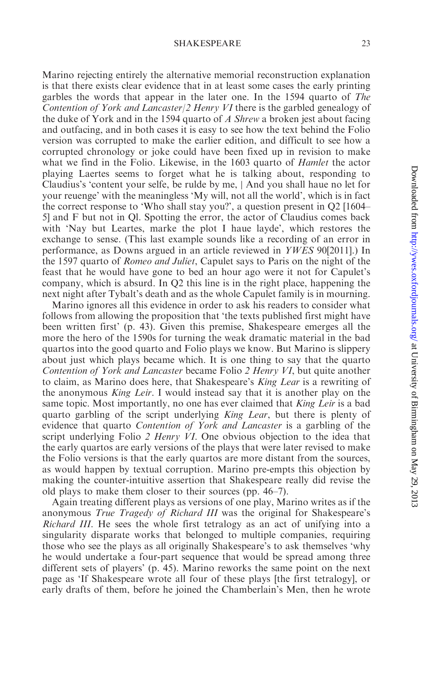Marino rejecting entirely the alternative memorial reconstruction explanation is that there exists clear evidence that in at least some cases the early printing garbles the words that appear in the later one. In the 1594 quarto of The Contention of York and Lancaster/2 Henry VI there is the garbled genealogy of the duke of York and in the 1594 quarto of A Shrew a broken jest about facing and outfacing, and in both cases it is easy to see how the text behind the  $Foli\overline{o}$ version was corrupted to make the earlier edition, and difficult to see how a corrupted chronology or joke could have been fixed up in revision to make what we find in the Folio. Likewise, in the 1603 quarto of *Hamlet* the actor playing Laertes seems to forget what he is talking about, responding to Claudius's 'content your selfe, be rulde by me, j And you shall haue no let for your reuenge' with the meaningless 'My will, not all the world', which is in fact the correct response to 'Who shall stay you?', a question present in Q2 [1604– 5] and F but not in Ql. Spotting the error, the actor of Claudius comes back with 'Nay but Leartes, marke the plot I haue layde', which restores the exchange to sense. (This last example sounds like a recording of an error in performance, as Downs argued in an article reviewed in YWES 90[2011].) In the 1597 quarto of Romeo and Juliet, Capulet says to Paris on the night of the feast that he would have gone to bed an hour ago were it not for Capulet's company, which is absurd. In Q2 this line is in the right place, happening the next night after Tybalt's death and as the whole Capulet family is in mourning.

Marino ignores all this evidence in order to ask his readers to consider what follows from allowing the proposition that 'the texts published first might have been written first' (p. 43). Given this premise, Shakespeare emerges all the more the hero of the 1590s for turning the weak dramatic material in the bad quartos into the good quarto and Folio plays we know. But Marino is slippery about just which plays became which. It is one thing to say that the quarto Contention of York and Lancaster became Folio 2 Henry VI, but quite another to claim, as Marino does here, that Shakespeare's King Lear is a rewriting of the anonymous King Leir. I would instead say that it is another play on the same topic. Most importantly, no one has ever claimed that *King Leir* is a bad quarto garbling of the script underlying King Lear, but there is plenty of evidence that quarto *Contention of York and Lancaster* is a garbling of the script underlying Folio 2 Henry  $VI$ . One obvious objection to the idea that the early quartos are early versions of the plays that were later revised to make the Folio versions is that the early quartos are more distant from the sources, as would happen by textual corruption. Marino pre-empts this objection by making the counter-intuitive assertion that Shakespeare really did revise the old plays to make them closer to their sources (pp. 46–7).

Again treating different plays as versions of one play, Marino writes as if the anonymous True Tragedy of Richard III was the original for Shakespeare's Richard III. He sees the whole first tetralogy as an act of unifying into a singularity disparate works that belonged to multiple companies, requiring those who see the plays as all originally Shakespeare's to ask themselves 'why he would undertake a four-part sequence that would be spread among three different sets of players' (p. 45). Marino reworks the same point on the next page as 'If Shakespeare wrote all four of these plays [the first tetralogy], or early drafts of them, before he joined the Chamberlain's Men, then he wrote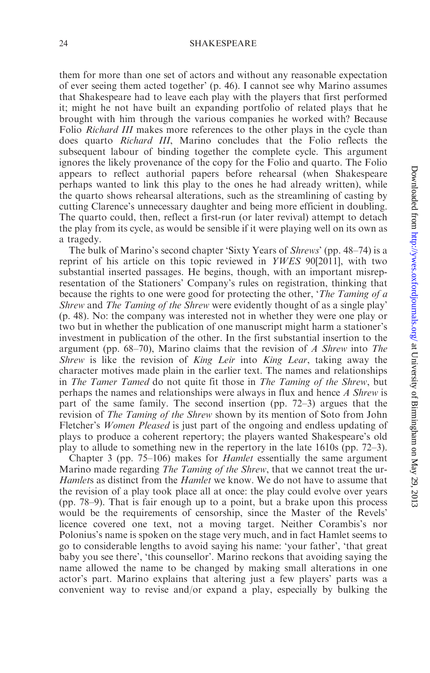them for more than one set of actors and without any reasonable expectation of ever seeing them acted together' (p. 46). I cannot see why Marino assumes that Shakespeare had to leave each play with the players that first performed it; might he not have built an expanding portfolio of related plays that he brought with him through the various companies he worked with? Because Folio *Richard III* makes more references to the other plays in the cycle than does quarto Richard III, Marino concludes that the Folio reflects the subsequent labour of binding together the complete cycle. This argument ignores the likely provenance of the copy for the Folio and quarto. The Folio appears to reflect authorial papers before rehearsal (when Shakespeare perhaps wanted to link this play to the ones he had already written), while the quarto shows rehearsal alterations, such as the streamlining of casting by cutting Clarence's unnecessary daughter and being more efficient in doubling. The quarto could, then, reflect a first-run (or later revival) attempt to detach the play from its cycle, as would be sensible if it were playing well on its own as a tragedy.

The bulk of Marino's second chapter 'Sixty Years of Shrews' (pp. 48–74) is a reprint of his article on this topic reviewed in  $YWES$  90[2011], with two substantial inserted passages. He begins, though, with an important misrepresentation of the Stationers' Company's rules on registration, thinking that because the rights to one were good for protecting the other, 'The Taming of a Shrew and The Taming of the Shrew were evidently thought of as a single play' (p. 48). No: the company was interested not in whether they were one play or two but in whether the publication of one manuscript might harm a stationer's investment in publication of the other. In the first substantial insertion to the argument (pp.  $68-70$ ), Marino claims that the revision of A Shrew into The Shrew is like the revision of King Leir into King Lear, taking away the character motives made plain in the earlier text. The names and relationships in The Tamer Tamed do not quite fit those in The Taming of the Shrew, but perhaps the names and relationships were always in flux and hence A Shrew is part of the same family. The second insertion (pp. 72–3) argues that the revision of The Taming of the Shrew shown by its mention of Soto from John Fletcher's *Women Pleased* is just part of the ongoing and endless updating of plays to produce a coherent repertory; the players wanted Shakespeare's old play to allude to something new in the repertory in the late 1610s (pp. 72–3).

Chapter 3 (pp. 75–106) makes for Hamlet essentially the same argument Marino made regarding *The Taming of the Shrew*, that we cannot treat the ur-Hamlets as distinct from the *Hamlet* we know. We do not have to assume that the revision of a play took place all at once: the play could evolve over years (pp. 78–9). That is fair enough up to a point, but a brake upon this process would be the requirements of censorship, since the Master of the Revels' licence covered one text, not a moving target. Neither Corambis's nor Polonius's name is spoken on the stage very much, and in fact Hamlet seems to go to considerable lengths to avoid saying his name: 'your father', 'that great baby you see there', 'this counsellor'. Marino reckons that avoiding saying the name allowed the name to be changed by making small alterations in one actor's part. Marino explains that altering just a few players' parts was a convenient way to revise and/or expand a play, especially by bulking the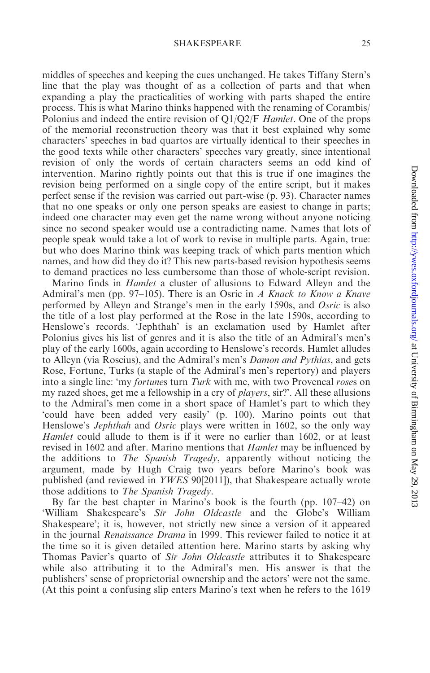middles of speeches and keeping the cues unchanged. He takes Tiffany Stern's line that the play was thought of as a collection of parts and that when expanding a play the practicalities of working with parts shaped the entire process. This is what Marino thinks happened with the renaming of Corambis/ Polonius and indeed the entire revision of  $O1/O2/F$  Hamlet. One of the props of the memorial reconstruction theory was that it best explained why some characters' speeches in bad quartos are virtually identical to their speeches in the good texts while other characters' speeches vary greatly, since intentional revision of only the words of certain characters seems an odd kind of intervention. Marino rightly points out that this is true if one imagines the revision being performed on a single copy of the entire script, but it makes perfect sense if the revision was carried out part-wise (p. 93). Character names that no one speaks or only one person speaks are easiest to change in parts; indeed one character may even get the name wrong without anyone noticing since no second speaker would use a contradicting name. Names that lots of people speak would take a lot of work to revise in multiple parts. Again, true: but who does Marino think was keeping track of which parts mention which names, and how did they do it? This new parts-based revision hypothesis seems to demand practices no less cumbersome than those of whole-script revision.

Marino finds in *Hamlet* a cluster of allusions to Edward Alleyn and the Admiral's men (pp. 97–105). There is an Osric in A Knack to Know a Knave performed by Alleyn and Strange's men in the early 1590s, and Osric is also the title of a lost play performed at the Rose in the late 1590s, according to Henslowe's records. 'Jephthah' is an exclamation used by Hamlet after Polonius gives his list of genres and it is also the title of an Admiral's men's play of the early 1600s, again according to Henslowe's records. Hamlet alludes to Alleyn (via Roscius), and the Admiral's men's Damon and Pythias, and gets Rose, Fortune, Turks (a staple of the Admiral's men's repertory) and players into a single line: 'my fortunes turn Turk with me, with two Provencal roses on my razed shoes, get me a fellowship in a cry of players, sir?'. All these allusions to the Admiral's men come in a short space of Hamlet's part to which they 'could have been added very easily' (p. 100). Marino points out that Henslowe's *Jephthah* and *Osric* plays were written in 1602, so the only way Hamlet could allude to them is if it were no earlier than 1602, or at least revised in 1602 and after. Marino mentions that *Hamlet* may be influenced by the additions to The Spanish Tragedy, apparently without noticing the argument, made by Hugh Craig two years before Marino's book was published (and reviewed in YWES 90[2011]), that Shakespeare actually wrote those additions to The Spanish Tragedy.

By far the best chapter in Marino's book is the fourth (pp. 107–42) on 'William Shakespeare's Sir John Oldcastle and the Globe's William Shakespeare'; it is, however, not strictly new since a version of it appeared in the journal Renaissance Drama in 1999. This reviewer failed to notice it at the time so it is given detailed attention here. Marino starts by asking why Thomas Pavier's quarto of Sir John Oldcastle attributes it to Shakespeare while also attributing it to the Admiral's men. His answer is that the publishers' sense of proprietorial ownership and the actors' were not the same. (At this point a confusing slip enters Marino's text when he refers to the 1619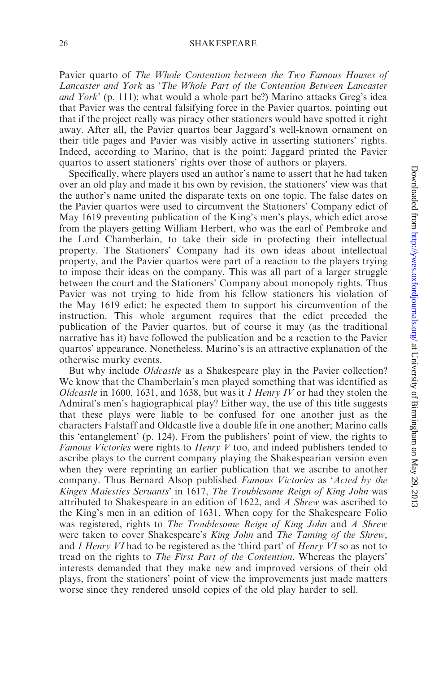Pavier quarto of The Whole Contention between the Two Famous Houses of Lancaster and York as 'The Whole Part of the Contention Between Lancaster and York' (p. 111); what would a whole part be?) Marino attacks Greg's idea that Pavier was the central falsifying force in the Pavier quartos, pointing out that if the project really was piracy other stationers would have spotted it right away. After all, the Pavier quartos bear Jaggard's well-known ornament on their title pages and Pavier was visibly active in asserting stationers' rights. Indeed, according to Marino, that is the point: Jaggard printed the Pavier quartos to assert stationers' rights over those of authors or players.

Specifically, where players used an author's name to assert that he had taken over an old play and made it his own by revision, the stationers' view was that the author's name united the disparate texts on one topic. The false dates on the Pavier quartos were used to circumvent the Stationers' Company edict of May 1619 preventing publication of the King's men's plays, which edict arose from the players getting William Herbert, who was the earl of Pembroke and the Lord Chamberlain, to take their side in protecting their intellectual property. The Stationers' Company had its own ideas about intellectual property, and the Pavier quartos were part of a reaction to the players trying to impose their ideas on the company. This was all part of a larger struggle between the court and the Stationers' Company about monopoly rights. Thus Pavier was not trying to hide from his fellow stationers his violation of the May 1619 edict: he expected them to support his circumvention of the instruction. This whole argument requires that the edict preceded the publication of the Pavier quartos, but of course it may (as the traditional narrative has it) have followed the publication and be a reaction to the Pavier quartos' appearance. Nonetheless, Marino's is an attractive explanation of the otherwise murky events.

But why include *Oldcastle* as a Shakespeare play in the Pavier collection? We know that the Chamberlain's men played something that was identified as *Oldcastle* in 1600, 1631, and 1638, but was it *I Henry IV* or had they stolen the Admiral's men's hagiographical play? Either way, the use of this title suggests that these plays were liable to be confused for one another just as the characters Falstaff and Oldcastle live a double life in one another; Marino calls this 'entanglement' (p. 124). From the publishers' point of view, the rights to Famous Victories were rights to Henry  $\overline{V}$  too, and indeed publishers tended to ascribe plays to the current company playing the Shakespearian version even when they were reprinting an earlier publication that we ascribe to another company. Thus Bernard Alsop published Famous Victories as 'Acted by the Kinges Maiesties Seruants' in 1617, The Troublesome Reign of King John was attributed to Shakespeare in an edition of 1622, and  $\ddot{A}$  Shrew was ascribed to the King's men in an edition of 1631. When copy for the Shakespeare Folio was registered, rights to The Troublesome Reign of King John and A Shrew were taken to cover Shakespeare's King John and The Taming of the Shrew, and 1 Henry VI had to be registered as the 'third part' of Henry VI so as not to tread on the rights to The First Part of the Contention. Whereas the players' interests demanded that they make new and improved versions of their old plays, from the stationers' point of view the improvements just made matters worse since they rendered unsold copies of the old play harder to sell.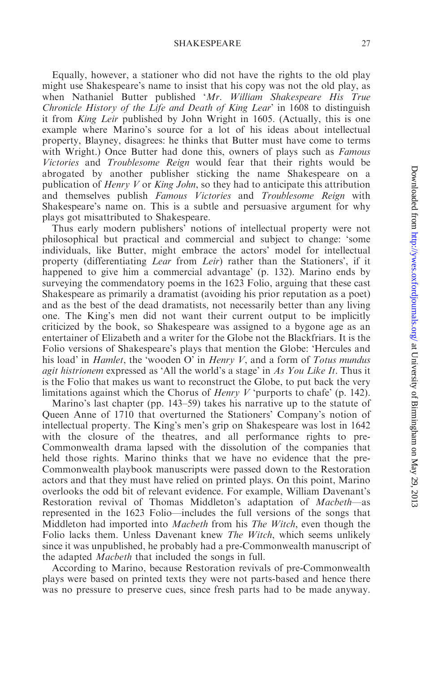Equally, however, a stationer who did not have the rights to the old play might use Shakespeare's name to insist that his copy was not the old play, as when Nathaniel Butter published 'Mr. William Shakespeare His True Chronicle History of the Life and Death of King Lear' in  $1608$  to distinguish it from King Leir published by John Wright in 1605. (Actually, this is one example where Marino's source for a lot of his ideas about intellectual property, Blayney, disagrees: he thinks that Butter must have come to terms with Wright.) Once Butter had done this, owners of plays such as *Famous* Victories and Troublesome Reign would fear that their rights would be abrogated by another publisher sticking the name Shakespeare on a publication of Henry V or King John, so they had to anticipate this attribution and themselves publish Famous Victories and Troublesome Reign with Shakespeare's name on. This is a subtle and persuasive argument for why plays got misattributed to Shakespeare.

Thus early modern publishers' notions of intellectual property were not philosophical but practical and commercial and subject to change: 'some individuals, like Butter, might embrace the actors' model for intellectual property (differentiating *Lear* from *Leir*) rather than the Stationers', if it happened to give him a commercial advantage' (p. 132). Marino ends by surveying the commendatory poems in the 1623 Folio, arguing that these cast Shakespeare as primarily a dramatist (avoiding his prior reputation as a poet) and as the best of the dead dramatists, not necessarily better than any living one. The King's men did not want their current output to be implicitly criticized by the book, so Shakespeare was assigned to a bygone age as an entertainer of Elizabeth and a writer for the Globe not the Blackfriars. It is the Folio versions of Shakespeare's plays that mention the Globe: 'Hercules and his load' in *Hamlet*, the 'wooden  $O'$  in *Henry V*, and a form of *Totus mundus* agit histrionem expressed as 'All the world's a stage' in As You Like It. Thus it is the Folio that makes us want to reconstruct the Globe, to put back the very limitations against which the Chorus of *Henry V* 'purports to chafe' (p. 142).

Marino's last chapter (pp. 143–59) takes his narrative up to the statute of Queen Anne of 1710 that overturned the Stationers' Company's notion of intellectual property. The King's men's grip on Shakespeare was lost in 1642 with the closure of the theatres, and all performance rights to pre-Commonwealth drama lapsed with the dissolution of the companies that held those rights. Marino thinks that we have no evidence that the pre-Commonwealth playbook manuscripts were passed down to the Restoration actors and that they must have relied on printed plays. On this point, Marino overlooks the odd bit of relevant evidence. For example, William Davenant's Restoration revival of Thomas Middleton's adaptation of Macbeth—as represented in the 1623 Folio—includes the full versions of the songs that Middleton had imported into Macbeth from his The Witch, even though the Folio lacks them. Unless Davenant knew The Witch, which seems unlikely since it was unpublished, he probably had a pre-Commonwealth manuscript of the adapted *Macbeth* that included the songs in full.

According to Marino, because Restoration revivals of pre-Commonwealth plays were based on printed texts they were not parts-based and hence there was no pressure to preserve cues, since fresh parts had to be made anyway.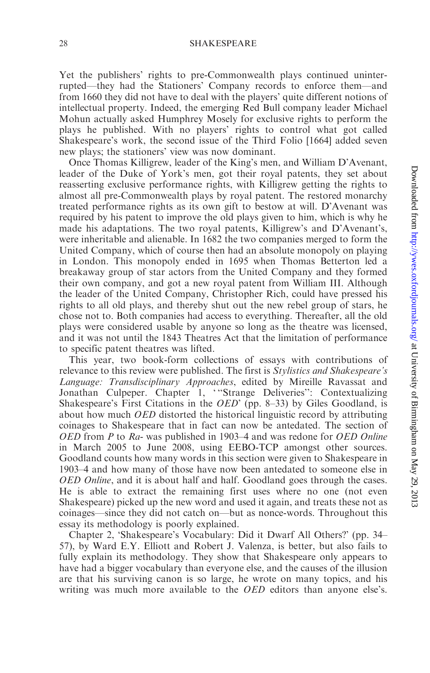Yet the publishers' rights to pre-Commonwealth plays continued uninterrupted—they had the Stationers' Company records to enforce them—and from 1660 they did not have to deal with the players' quite different notions of intellectual property. Indeed, the emerging Red Bull company leader Michael Mohun actually asked Humphrey Mosely for exclusive rights to perform the plays he published. With no players' rights to control what got called Shakespeare's work, the second issue of the Third Folio [1664] added seven new plays; the stationers' view was now dominant.

Once Thomas Killigrew, leader of the King's men, and William D'Avenant, leader of the Duke of York's men, got their royal patents, they set about reasserting exclusive performance rights, with Killigrew getting the rights to almost all pre-Commonwealth plays by royal patent. The restored monarchy treated performance rights as its own gift to bestow at will. D'Avenant was required by his patent to improve the old plays given to him, which is why he made his adaptations. The two royal patents, Killigrew's and D'Avenant's, were inheritable and alienable. In 1682 the two companies merged to form the United Company, which of course then had an absolute monopoly on playing in London. This monopoly ended in 1695 when Thomas Betterton led a breakaway group of star actors from the United Company and they formed their own company, and got a new royal patent from William III. Although the leader of the United Company, Christopher Rich, could have pressed his rights to all old plays, and thereby shut out the new rebel group of stars, he chose not to. Both companies had access to everything. Thereafter, all the old plays were considered usable by anyone so long as the theatre was licensed, and it was not until the 1843 Theatres Act that the limitation of performance to specific patent theatres was lifted.

This year, two book-form collections of essays with contributions of relevance to this review were published. The first is  $\dot{St}$ *vistics and Shakespeare's* Language: Transdisciplinary Approaches, edited by Mireille Ravassat and Jonathan Culpeper. Chapter 1, "Strange Deliveries": Contextualizing Shakespeare's First Citations in the  $OED'$  (pp. 8–33) by Giles Goodland, is about how much OED distorted the historical linguistic record by attributing coinages to Shakespeare that in fact can now be antedated. The section of OED from P to Ra- was published in 1903–4 and was redone for OED Online in March 2005 to June 2008, using EEBO-TCP amongst other sources. Goodland counts how many words in this section were given to Shakespeare in 1903–4 and how many of those have now been antedated to someone else in OED Online, and it is about half and half. Goodland goes through the cases. He is able to extract the remaining first uses where no one (not even Shakespeare) picked up the new word and used it again, and treats these not as coinages—since they did not catch on—but as nonce-words. Throughout this essay its methodology is poorly explained.

Chapter 2, 'Shakespeare's Vocabulary: Did it Dwarf All Others?' (pp. 34– 57), by Ward E.Y. Elliott and Robert J. Valenza, is better, but also fails to fully explain its methodology. They show that Shakespeare only appears to have had a bigger vocabulary than everyone else, and the causes of the illusion are that his surviving canon is so large, he wrote on many topics, and his writing was much more available to the *OED* editors than anyone else's.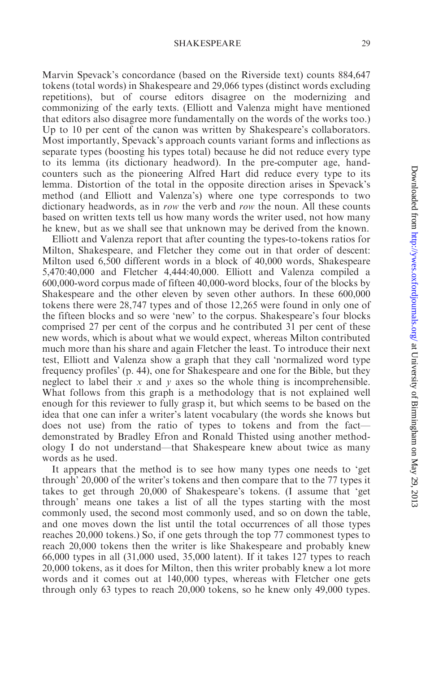Marvin Spevack's concordance (based on the Riverside text) counts 884,647 tokens (total words) in Shakespeare and 29,066 types (distinct words excluding repetitions), but of course editors disagree on the modernizing and commonizing of the early texts. (Elliott and Valenza might have mentioned that editors also disagree more fundamentally on the words of the works too.) Up to 10 per cent of the canon was written by Shakespeare's collaborators. Most importantly, Spevack's approach counts variant forms and inflections as separate types (boosting his types total) because he did not reduce every type to its lemma (its dictionary headword). In the pre-computer age, handcounters such as the pioneering Alfred Hart did reduce every type to its lemma. Distortion of the total in the opposite direction arises in Spevack's method (and Elliott and Valenza's) where one type corresponds to two dictionary headwords, as in row the verb and row the noun. All these counts based on written texts tell us how many words the writer used, not how many he knew, but as we shall see that unknown may be derived from the known.

Elliott and Valenza report that after counting the types-to-tokens ratios for Milton, Shakespeare, and Fletcher they come out in that order of descent: Milton used 6,500 different words in a block of 40,000 words, Shakespeare 5,470:40,000 and Fletcher 4,444:40,000. Elliott and Valenza compiled a 600,000-word corpus made of fifteen 40,000-word blocks, four of the blocks by Shakespeare and the other eleven by seven other authors. In these 600,000 tokens there were 28,747 types and of those 12,265 were found in only one of the fifteen blocks and so were 'new' to the corpus. Shakespeare's four blocks comprised 27 per cent of the corpus and he contributed 31 per cent of these new words, which is about what we would expect, whereas Milton contributed much more than his share and again Fletcher the least. To introduce their next test, Elliott and Valenza show a graph that they call 'normalized word type frequency profiles' (p. 44), one for Shakespeare and one for the Bible, but they neglect to label their x and y axes so the whole thing is incomprehensible. What follows from this graph is a methodology that is not explained well enough for this reviewer to fully grasp it, but which seems to be based on the idea that one can infer a writer's latent vocabulary (the words she knows but does not use) from the ratio of types to tokens and from the fact demonstrated by Bradley Efron and Ronald Thisted using another methodology I do not understand—that Shakespeare knew about twice as many words as he used.

It appears that the method is to see how many types one needs to 'get through' 20,000 of the writer's tokens and then compare that to the 77 types it takes to get through 20,000 of Shakespeare's tokens. (I assume that 'get through' means one takes a list of all the types starting with the most commonly used, the second most commonly used, and so on down the table, and one moves down the list until the total occurrences of all those types reaches 20,000 tokens.) So, if one gets through the top 77 commonest types to reach 20,000 tokens then the writer is like Shakespeare and probably knew 66,000 types in all (31,000 used, 35,000 latent). If it takes 127 types to reach 20,000 tokens, as it does for Milton, then this writer probably knew a lot more words and it comes out at 140,000 types, whereas with Fletcher one gets through only 63 types to reach 20,000 tokens, so he knew only 49,000 types.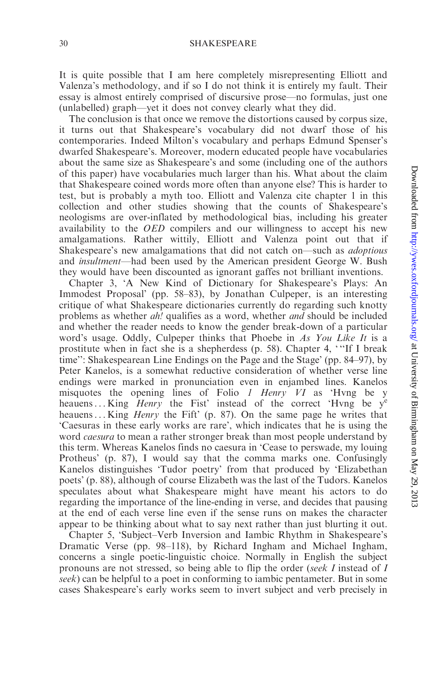It is quite possible that I am here completely misrepresenting Elliott and Valenza's methodology, and if so I do not think it is entirely my fault. Their essay is almost entirely comprised of discursive prose—no formulas, just one (unlabelled) graph—yet it does not convey clearly what they did.

The conclusion is that once we remove the distortions caused by corpus size, it turns out that Shakespeare's vocabulary did not dwarf those of his contemporaries. Indeed Milton's vocabulary and perhaps Edmund Spenser's dwarfed Shakespeare's. Moreover, modern educated people have vocabularies about the same size as Shakespeare's and some (including one of the authors of this paper) have vocabularies much larger than his. What about the claim that Shakespeare coined words more often than anyone else? This is harder to test, but is probably a myth too. Elliott and Valenza cite chapter 1 in this collection and other studies showing that the counts of Shakespeare's neologisms are over-inflated by methodological bias, including his greater availability to the OED compilers and our willingness to accept his new amalgamations. Rather wittily, Elliott and Valenza point out that if Shakespeare's new amalgamations that did not catch on—such as adoptious and insultment—had been used by the American president George W. Bush they would have been discounted as ignorant gaffes not brilliant inventions.

Chapter 3, 'A New Kind of Dictionary for Shakespeare's Plays: An Immodest Proposal' (pp. 58–83), by Jonathan Culpeper, is an interesting critique of what Shakespeare dictionaries currently do regarding such knotty problems as whether *ah!* qualifies as a word, whether *and* should be included and whether the reader needs to know the gender break-down of a particular word's usage. Oddly, Culpeper thinks that Phoebe in As You Like It is a prostitute when in fact she is a shepherdess (p. 58). Chapter 4, ' ''If I break time'': Shakespearean Line Endings on the Page and the Stage' (pp. 84–97), by Peter Kanelos, is a somewhat reductive consideration of whether verse line endings were marked in pronunciation even in enjambed lines. Kanelos misquotes the opening lines of Folio  $1$  Henry  $VI$  as 'Hvng be y heauens... King *Henry* the Fist' instead of the correct 'Hvng be y<sup>e</sup> heauens... King *Henry* the Fift' (p. 87). On the same page he writes that 'Caesuras in these early works are rare', which indicates that he is using the word caesura to mean a rather stronger break than most people understand by this term. Whereas Kanelos finds no caesura in 'Cease to perswade, my louing Protheus' (p. 87), I would say that the comma marks one. Confusingly Kanelos distinguishes 'Tudor poetry' from that produced by 'Elizabethan poets' (p. 88), although of course Elizabeth was the last of the Tudors. Kanelos speculates about what Shakespeare might have meant his actors to do regarding the importance of the line-ending in verse, and decides that pausing at the end of each verse line even if the sense runs on makes the character appear to be thinking about what to say next rather than just blurting it out.

Chapter 5, 'Subject–Verb Inversion and Iambic Rhythm in Shakespeare's Dramatic Verse (pp. 98–118), by Richard Ingham and Michael Ingham, concerns a single poetic-linguistic choice. Normally in English the subject pronouns are not stressed, so being able to flip the order (seek I instead of I seek) can be helpful to a poet in conforming to iambic pentameter. But in some cases Shakespeare's early works seem to invert subject and verb precisely in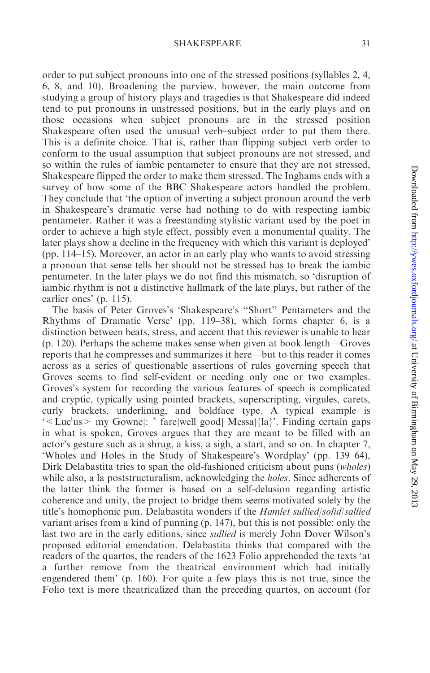order to put subject pronouns into one of the stressed positions (syllables 2, 4, 6, 8, and 10). Broadening the purview, however, the main outcome from studying a group of history plays and tragedies is that Shakespeare did indeed tend to put pronouns in unstressed positions, but in the early plays and on those occasions when subject pronouns are in the stressed position Shakespeare often used the unusual verb–subject order to put them there. This is a definite choice. That is, rather than flipping subject–verb order to conform to the usual assumption that subject pronouns are not stressed, and so within the rules of iambic pentameter to ensure that they are not stressed, Shakespeare flipped the order to make them stressed. The Inghams ends with a survey of how some of the BBC Shakespeare actors handled the problem. They conclude that 'the option of inverting a subject pronoun around the verb in Shakespeare's dramatic verse had nothing to do with respecting iambic pentameter. Rather it was a freestanding stylistic variant used by the poet in order to achieve a high style effect, possibly even a monumental quality. The later plays show a decline in the frequency with which this variant is deployed' (pp. 114–15). Moreover, an actor in an early play who wants to avoid stressing a pronoun that sense tells her should not be stressed has to break the iambic pentameter. In the later plays we do not find this mismatch, so 'disruption of iambic rhythm is not a distinctive hallmark of the late plays, but rather of the earlier ones' (p. 115).

The basis of Peter Groves's 'Shakespeare's ''Short'' Pentameters and the Rhythms of Dramatic Verse' (pp. 119–38), which forms chapter 6, is a distinction between beats, stress, and accent that this reviewer is unable to hear (p. 120). Perhaps the scheme makes sense when given at book length—Groves reports that he compresses and summarizes it here—but to this reader it comes across as a series of questionable assertions of rules governing speech that Groves seems to find self-evident or needing only one or two examples. Groves's system for recording the various features of speech is complicated and cryptic, typically using pointed brackets, superscripting, virgules, carets, curly brackets, underlining, and boldface type. A typical example is '<Luci us> my Gownej: ^ farejwell goodj Messaj{la}'. Finding certain gaps in what is spoken, Groves argues that they are meant to be filled with an actor's gesture such as a shrug, a kiss, a sigh, a start, and so on. In chapter 7, 'Wholes and Holes in the Study of Shakespeare's Wordplay' (pp. 139–64), Dirk Delabastita tries to span the old-fashioned criticism about puns (wholes) while also, a la poststructuralism, acknowledging the *holes*. Since adherents of the latter think the former is based on a self-delusion regarding artistic coherence and unity, the project to bridge them seems motivated solely by the title's homophonic pun. Delabastita wonders if the Hamlet sullied/solid/sallied variant arises from a kind of punning (p. 147), but this is not possible: only the last two are in the early editions, since sullied is merely John Dover Wilson's proposed editorial emendation. Delabastita thinks that compared with the readers of the quartos, the readers of the 1623 Folio apprehended the texts 'at a further remove from the theatrical environment which had initially engendered them' (p. 160). For quite a few plays this is not true, since the Folio text is more theatricalized than the preceding quartos, on account (for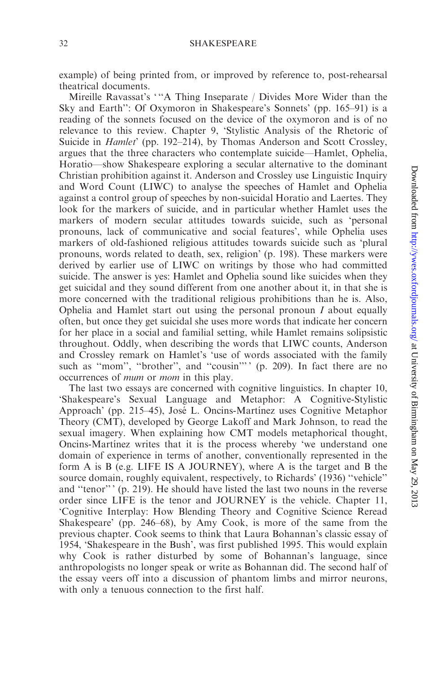example) of being printed from, or improved by reference to, post-rehearsal theatrical documents.

Mireille Ravassat's "A Thing Inseparate / Divides More Wider than the Sky and Earth'': Of Oxymoron in Shakespeare's Sonnets' (pp. 165–91) is a reading of the sonnets focused on the device of the oxymoron and is of no relevance to this review. Chapter 9, 'Stylistic Analysis of the Rhetoric of Suicide in *Hamlet'* (pp. 192–214), by Thomas Anderson and Scott Crossley, argues that the three characters who contemplate suicide—Hamlet, Ophelia, Horatio—show Shakespeare exploring a secular alternative to the dominant Christian prohibition against it. Anderson and Crossley use Linguistic Inquiry and Word Count (LIWC) to analyse the speeches of Hamlet and Ophelia against a control group of speeches by non-suicidal Horatio and Laertes. They look for the markers of suicide, and in particular whether Hamlet uses the markers of modern secular attitudes towards suicide, such as 'personal pronouns, lack of communicative and social features', while Ophelia uses markers of old-fashioned religious attitudes towards suicide such as 'plural pronouns, words related to death, sex, religion' (p. 198). These markers were derived by earlier use of LIWC on writings by those who had committed suicide. The answer is yes: Hamlet and Ophelia sound like suicides when they get suicidal and they sound different from one another about it, in that she is more concerned with the traditional religious prohibitions than he is. Also, Ophelia and Hamlet start out using the personal pronoun  $I$  about equally often, but once they get suicidal she uses more words that indicate her concern for her place in a social and familial setting, while Hamlet remains solipsistic throughout. Oddly, when describing the words that LIWC counts, Anderson and Crossley remark on Hamlet's 'use of words associated with the family such as "mom", "brother", and "cousin"" (p. 209). In fact there are no occurrences of mum or mom in this play.

The last two essays are concerned with cognitive linguistics. In chapter 10, 'Shakespeare's Sexual Language and Metaphor: A Cognitive-Stylistic Approach' (pp. 215–45), Jose´ L. Oncins-Martı´nez uses Cognitive Metaphor Theory (CMT), developed by George Lakoff and Mark Johnson, to read the sexual imagery. When explaining how CMT models metaphorical thought, Oncins-Martinez writes that it is the process whereby 'we understand one domain of experience in terms of another, conventionally represented in the form A is B (e.g. LIFE IS A JOURNEY), where A is the target and B the source domain, roughly equivalent, respectively, to Richards' (1936) ''vehicle'' and ''tenor'' ' (p. 219). He should have listed the last two nouns in the reverse order since LIFE is the tenor and JOURNEY is the vehicle. Chapter 11, 'Cognitive Interplay: How Blending Theory and Cognitive Science Reread Shakespeare' (pp. 246–68), by Amy Cook, is more of the same from the previous chapter. Cook seems to think that Laura Bohannan's classic essay of 1954, 'Shakespeare in the Bush', was first published 1995. This would explain why Cook is rather disturbed by some of Bohannan's language, since anthropologists no longer speak or write as Bohannan did. The second half of the essay veers off into a discussion of phantom limbs and mirror neurons, with only a tenuous connection to the first half.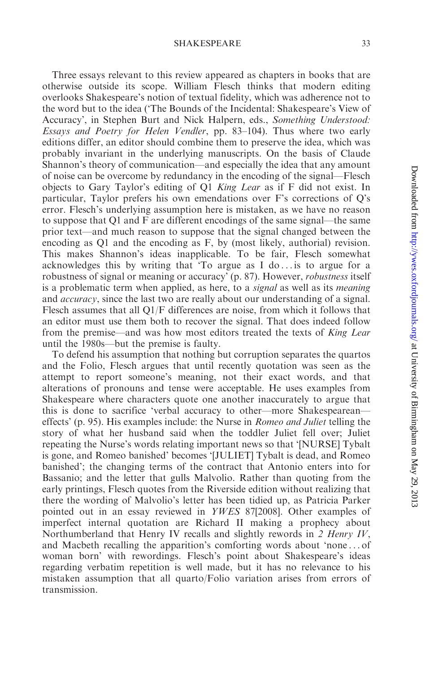Three essays relevant to this review appeared as chapters in books that are otherwise outside its scope. William Flesch thinks that modern editing overlooks Shakespeare's notion of textual fidelity, which was adherence not to the word but to the idea ('The Bounds of the Incidental: Shakespeare's View of Accuracy', in Stephen Burt and Nick Halpern, eds., Something Understood: Essays and Poetry for Helen Vendler, pp. 83–104). Thus where two early editions differ, an editor should combine them to preserve the idea, which was probably invariant in the underlying manuscripts. On the basis of Claude Shannon's theory of communication—and especially the idea that any amount of noise can be overcome by redundancy in the encoding of the signal—Flesch objects to Gary Taylor's editing of Q1 King Lear as if F did not exist. In particular, Taylor prefers his own emendations over F's corrections of Q's error. Flesch's underlying assumption here is mistaken, as we have no reason to suppose that Q1 and F are different encodings of the same signal—the same prior text—and much reason to suppose that the signal changed between the encoding as Q1 and the encoding as F, by (most likely, authorial) revision. This makes Shannon's ideas inapplicable. To be fair, Flesch somewhat acknowledges this by writing that 'To argue as I do ... is to argue for a robustness of signal or meaning or accuracy' (p. 87). However, robustness itself is a problematic term when applied, as here, to a signal as well as its meaning and accuracy, since the last two are really about our understanding of a signal. Flesch assumes that all Q1/F differences are noise, from which it follows that an editor must use them both to recover the signal. That does indeed follow from the premise—and was how most editors treated the texts of King Lear until the 1980s—but the premise is faulty.

To defend his assumption that nothing but corruption separates the quartos and the Folio, Flesch argues that until recently quotation was seen as the attempt to report someone's meaning, not their exact words, and that alterations of pronouns and tense were acceptable. He uses examples from Shakespeare where characters quote one another inaccurately to argue that this is done to sacrifice 'verbal accuracy to other—more Shakespearean effects' (p. 95). His examples include: the Nurse in *Romeo and Juliet* telling the story of what her husband said when the toddler Juliet fell over; Juliet repeating the Nurse's words relating important news so that '[NURSE] Tybalt is gone, and Romeo banished' becomes '[JULIET] Tybalt is dead, and Romeo banished'; the changing terms of the contract that Antonio enters into for Bassanio; and the letter that gulls Malvolio. Rather than quoting from the early printings, Flesch quotes from the Riverside edition without realizing that there the wording of Malvolio's letter has been tidied up, as Patricia Parker pointed out in an essay reviewed in YWES 87[2008]. Other examples of imperfect internal quotation are Richard II making a prophecy about Northumberland that Henry IV recalls and slightly rewords in 2 Henry IV, and Macbeth recalling the apparition's comforting words about 'none ... of woman born' with rewordings. Flesch's point about Shakespeare's ideas regarding verbatim repetition is well made, but it has no relevance to his mistaken assumption that all quarto/Folio variation arises from errors of transmission.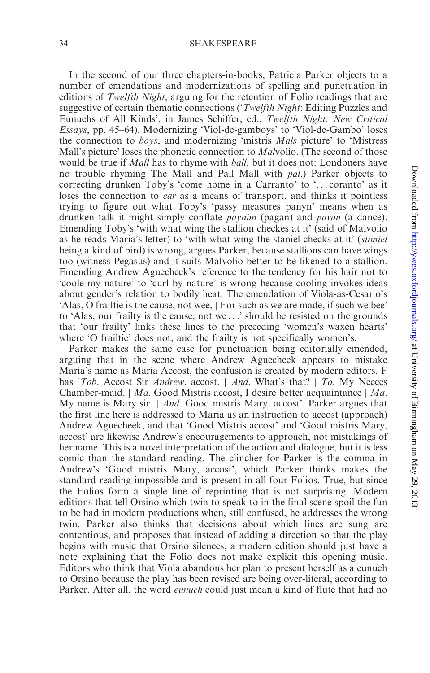In the second of our three chapters-in-books, Patricia Parker objects to a number of emendations and modernizations of spelling and punctuation in editions of *Twelfth Night*, arguing for the retention of Folio readings that are suggestive of certain thematic connections ('*Twelfth Night*: Editing Puzzles and Eunuchs of All Kinds', in James Schiffer, ed., Twelfth Night: New Critical Essays, pp. 45–64). Modernizing 'Viol-de-gamboys' to 'Viol-de-Gambo' loses the connection to boys, and modernizing 'mistris Mals picture' to 'Mistress Mall's picture' loses the phonetic connection to *Malvolio*. (The second of those would be true if *Mall* has to rhyme with *ball*, but it does not: Londoners have no trouble rhyming The Mall and Pall Mall with pal.) Parker objects to correcting drunken Toby's 'come home in a Carranto' to '... coranto' as it loses the connection to *car* as a means of transport, and thinks it pointless trying to figure out what Toby's 'passy measures panyn' means when as drunken talk it might simply conflate *paynim* (pagan) and *pavan* (a dance). Emending Toby's 'with what wing the stallion checkes at it' (said of Malvolio as he reads Maria's letter) to 'with what wing the staniel checks at it' (*staniel* being a kind of bird) is wrong, argues Parker, because stallions can have wings too (witness Pegasus) and it suits Malvolio better to be likened to a stallion. Emending Andrew Aguecheek's reference to the tendency for his hair not to 'coole my nature' to 'curl by nature' is wrong because cooling invokes ideas about gender's relation to bodily heat. The emendation of Viola-as-Cesario's 'Alas,  $\overline{O}$  frailtie is the cause, not wee,  $\overline{O}$  For such as we are made, if such we bee' to 'Alas, our frailty is the cause, not we ...' should be resisted on the grounds that 'our frailty' links these lines to the preceding 'women's waxen hearts' where 'O frailtie' does not, and the frailty is not specifically women's.

Parker makes the same case for punctuation being editorially emended, arguing that in the scene where Andrew Aguecheek appears to mistake Maria's name as Maria Accost, the confusion is created by modern editors. F has 'Tob. Accost Sir Andrew, accost. | And. What's that? | To. My Neeces Chamber-maid. | Ma. Good Mistris accost, I desire better acquaintance | Ma. My name is Mary sir. *| And.* Good mistris Mary, accost'. Parker argues that the first line here is addressed to Maria as an instruction to accost (approach) Andrew Aguecheek, and that 'Good Mistris accost' and 'Good mistris Mary, accost' are likewise Andrew's encouragements to approach, not mistakings of her name. This is a novel interpretation of the action and dialogue, but it is less comic than the standard reading. The clincher for Parker is the comma in Andrew's 'Good mistris Mary, accost', which Parker thinks makes the standard reading impossible and is present in all four Folios. True, but since the Folios form a single line of reprinting that is not surprising. Modern editions that tell Orsino which twin to speak to in the final scene spoil the fun to be had in modern productions when, still confused, he addresses the wrong twin. Parker also thinks that decisions about which lines are sung are contentious, and proposes that instead of adding a direction so that the play begins with music that Orsino silences, a modern edition should just have a note explaining that the Folio does not make explicit this opening music. Editors who think that Viola abandons her plan to present herself as a eunuch to Orsino because the play has been revised are being over-literal, according to Parker. After all, the word *eunuch* could just mean a kind of flute that had no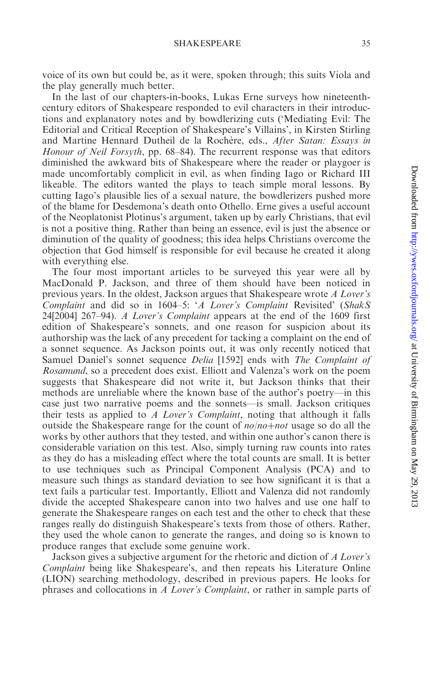voice of its own but could be, as it were, spoken through; this suits Viola and the play generally much better.

In the last of our chapters-in-books, Lukas Erne surveys how nineteenthcentury editors of Shakespeare responded to evil characters in their introductions and explanatory notes and by bowdlerizing cuts ('Mediating Evil: The Editorial and Critical Reception of Shakespeare's Villains', in Kirsten Stirling and Martine Hennard Dutheil de la Rochère, eds., After Satan: Essays in Honour of Neil Forsyth, pp. 68–84). The recurrent response was that editors diminished the awkward bits of Shakespeare where the reader or playgoer is made uncomfortably complicit in evil, as when finding Iago or Richard III likeable. The editors wanted the plays to teach simple moral lessons. By cutting Iago's plausible lies of a sexual nature, the bowdlerizers pushed more of the blame for Desdemona's death onto Othello. Erne gives a useful account of the Neoplatonist Plotinus's argument, taken up by early Christians, that evil is not a positive thing. Rather than being an essence, evil is just the absence or diminution of the quality of goodness; this idea helps Christians overcome the objection that God himself is responsible for evil because he created it along with everything else.

The four most important articles to be surveyed this year were all by MacDonald P. Jackson, and three of them should have been noticed in previous years. In the oldest, Jackson argues that Shakespeare wrote A Lover's Complaint and did so in 1604–5: 'A Lover's Complaint Revisited' (ShakS 24[2004] 267–94). A Lover's Complaint appears at the end of the 1609 first edition of Shakespeare's sonnets, and one reason for suspicion about its authorship was the lack of any precedent for tacking a complaint on the end of a sonnet sequence. As Jackson points out, it was only recently noticed that Samuel Daniel's sonnet sequence Delia [1592] ends with The Complaint of Rosamund, so a precedent does exist. Elliott and Valenza's work on the poem suggests that Shakespeare did not write it, but Jackson thinks that their methods are unreliable where the known base of the author's poetry—in this case just two narrative poems and the sonnets—is small. Jackson critiques their tests as applied to  $\overline{A}$  Lover's Complaint, noting that although it falls outside the Shakespeare range for the count of  $no/no+not$  usage so do all the works by other authors that they tested, and within one author's canon there is considerable variation on this test. Also, simply turning raw counts into rates as they do has a misleading effect where the total counts are small. It is better to use techniques such as Principal Component Analysis (PCA) and to measure such things as standard deviation to see how significant it is that a text fails a particular test. Importantly, Elliott and Valenza did not randomly divide the accepted Shakespeare canon into two halves and use one half to generate the Shakespeare ranges on each test and the other to check that these ranges really do distinguish Shakespeare's texts from those of others. Rather, they used the whole canon to generate the ranges, and doing so is known to produce ranges that exclude some genuine work.

Jackson gives a subjective argument for the rhetoric and diction of A Lover's Complaint being like Shakespeare's, and then repeats his Literature Online (LION) searching methodology, described in previous papers. He looks for phrases and collocations in A Lover's Complaint, or rather in sample parts of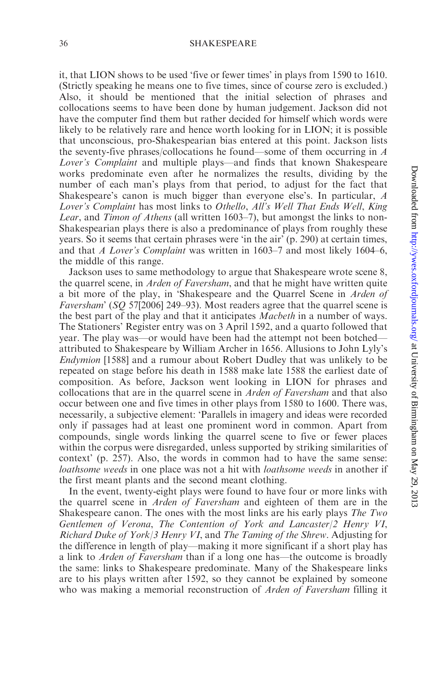it, that LION shows to be used 'five or fewer times' in plays from 1590 to 1610. (Strictly speaking he means one to five times, since of course zero is excluded.) Also, it should be mentioned that the initial selection of phrases and collocations seems to have been done by human judgement. Jackson did not have the computer find them but rather decided for himself which words were likely to be relatively rare and hence worth looking for in LION; it is possible that unconscious, pro-Shakespearian bias entered at this point. Jackson lists the seventy-five phrases/collocations he found—some of them occurring in  $\vec{A}$ Lover's Complaint and multiple plays—and finds that known Shakespeare works predominate even after he normalizes the results, dividing by the number of each man's plays from that period, to adjust for the fact that Shakespeare's canon is much bigger than everyone else's. In particular, A Lover's Complaint has most links to Othello, All's Well That Ends Well, King Lear, and Timon of Athens (all written 1603–7), but amongst the links to non-Shakespearian plays there is also a predominance of plays from roughly these years. So it seems that certain phrases were 'in the air' (p. 290) at certain times, and that A Lover's Complaint was written in 1603–7 and most likely 1604–6, the middle of this range.

Jackson uses to same methodology to argue that Shakespeare wrote scene 8, the quarrel scene, in *Arden of Faversham*, and that he might have written quite a bit more of the play, in 'Shakespeare and the Quarrel Scene in Arden of *Faversham'* (SO 57 $\overline{2006}$ ] 249–93). Most readers agree that the quarrel scene is the best part of the play and that it anticipates *Macbeth* in a number of ways. The Stationers' Register entry was on 3 April 1592, and a quarto followed that year. The play was—or would have been had the attempt not been botched attributed to Shakespeare by William Archer in 1656. Allusions to John Lyly's Endymion [1588] and a rumour about Robert Dudley that was unlikely to be repeated on stage before his death in 1588 make late 1588 the earliest date of composition. As before, Jackson went looking in LION for phrases and collocations that are in the quarrel scene in Arden of Faversham and that also occur between one and five times in other plays from 1580 to 1600. There was, necessarily, a subjective element: 'Parallels in imagery and ideas were recorded only if passages had at least one prominent word in common. Apart from compounds, single words linking the quarrel scene to five or fewer places within the corpus were disregarded, unless supported by striking similarities of context' (p. 257). Also, the words in common had to have the same sense: loathsome weeds in one place was not a hit with *loathsome weeds* in another if the first meant plants and the second meant clothing.

In the event, twenty-eight plays were found to have four or more links with the quarrel scene in Arden of Faversham and eighteen of them are in the Shakespeare canon. The ones with the most links are his early plays The Two Gentlemen of Verona, The Contention of York and Lancaster/2 Henry VI, Richard Duke of York/3 Henry VI, and The Taming of the Shrew. Adjusting for the difference in length of play—making it more significant if a short play has a link to Arden of Faversham than if a long one has—the outcome is broadly the same: links to Shakespeare predominate. Many of the Shakespeare links are to his plays written after 1592, so they cannot be explained by someone who was making a memorial reconstruction of Arden of Faversham filling it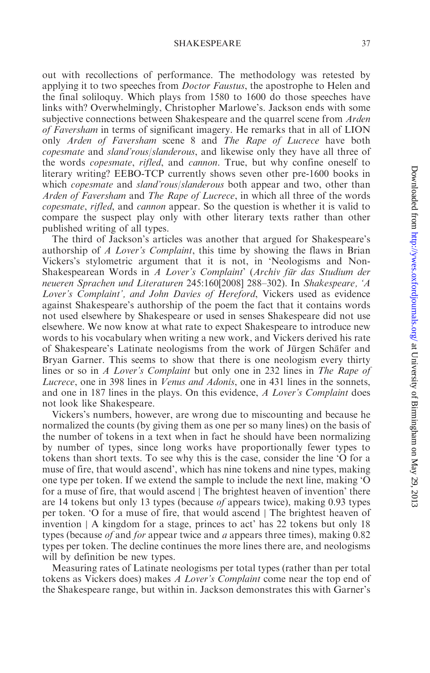out with recollections of performance. The methodology was retested by applying it to two speeches from *Doctor Faustus*, the apostrophe to Helen and the final soliloquy. Which plays from 1580 to 1600 do those speeches have links with? Overwhelmingly, Christopher Marlowe's. Jackson ends with some subjective connections between Shakespeare and the quarrel scene from Arden of Faversham in terms of significant imagery. He remarks that in all of LION only Arden of Faversham scene 8 and The Rape of Lucrece have both copesmate and sland'rous/slanderous, and likewise only they have all three of the words copesmate, rifled, and cannon. True, but why confine oneself to literary writing? EEBO-TCP currently shows seven other pre-1600 books in which *copesmate* and *sland'rous*/slanderous both appear and two, other than Arden of Faversham and The Rape of Lucrece, in which all three of the words copesmate, rifled, and cannon appear. So the question is whether it is valid to compare the suspect play only with other literary texts rather than other published writing of all types.

The third of Jackson's articles was another that argued for Shakespeare's authorship of A Lover's Complaint, this time by showing the flaws in Brian Vickers's stylometric argument that it is not, in 'Neologisms and Non-Shakespearean Words in A Lover's Complaint' (Archiv für das Studium der neueren Sprachen und Literaturen 245:160[2008] 288–302). In Shakespeare, 'A Lover's Complaint', and John Davies of Hereford, Vickers used as evidence against Shakespeare's authorship of the poem the fact that it contains words not used elsewhere by Shakespeare or used in senses Shakespeare did not use elsewhere. We now know at what rate to expect Shakespeare to introduce new words to his vocabulary when writing a new work, and Vickers derived his rate of Shakespeare's Latinate neologisms from the work of Jürgen Schäfer and Bryan Garner. This seems to show that there is one neologism every thirty lines or so in A Lover's Complaint but only one in 232 lines in The Rape of Lucrece, one in 398 lines in *Venus and Adonis*, one in 431 lines in the sonnets. and one in 187 lines in the plays. On this evidence, A Lover's Complaint does not look like Shakespeare.

Vickers's numbers, however, are wrong due to miscounting and because he normalized the counts (by giving them as one per so many lines) on the basis of the number of tokens in a text when in fact he should have been normalizing by number of types, since long works have proportionally fewer types to tokens than short texts. To see why this is the case, consider the line 'O for a muse of fire, that would ascend', which has nine tokens and nine types, making one type per token. If we extend the sample to include the next line, making 'O for a muse of fire, that would ascend | The brightest heaven of invention' there are 14 tokens but only 13 types (because of appears twice), making 0.93 types per token. 'O for a muse of fire, that would ascend j The brightest heaven of invention j A kingdom for a stage, princes to act' has 22 tokens but only 18 types (because of and for appear twice and a appears three times), making  $0.82$ types per token. The decline continues the more lines there are, and neologisms will by definition be new types.

Measuring rates of Latinate neologisms per total types (rather than per total tokens as Vickers does) makes A Lover's Complaint come near the top end of the Shakespeare range, but within in. Jackson demonstrates this with Garner's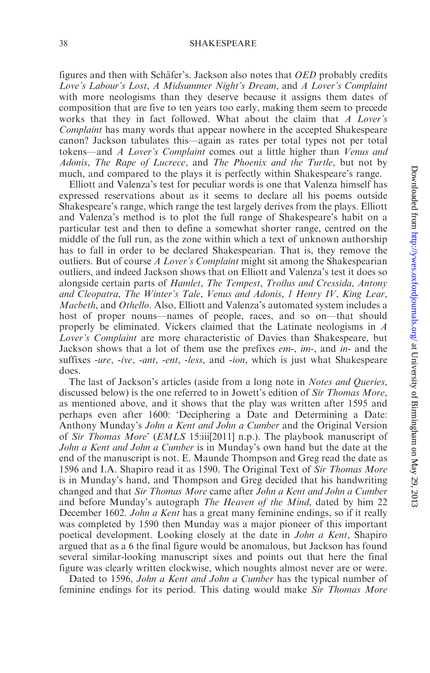figures and then with Schäfer's. Jackson also notes that  $OED$  probably credits Love's Labour's Lost, A Midsummer Night's Dream, and A Lover's Complaint with more neologisms than they deserve because it assigns them dates of composition that are five to ten years too early, making them seem to precede works that they in fact followed. What about the claim that A Lover's Complaint has many words that appear nowhere in the accepted Shakespeare canon? Jackson tabulates this—again as rates per total types not per total tokens—and A Lover's Complaint comes out a little higher than Venus and Adonis, The Rape of Lucrece, and The Phoenix and the Turtle, but not by much, and compared to the plays it is perfectly within Shakespeare's range.

Elliott and Valenza's test for peculiar words is one that Valenza himself has expressed reservations about as it seems to declare all his poems outside Shakespeare's range, which range the test largely derives from the plays. Elliott and Valenza's method is to plot the full range of Shakespeare's habit on a particular test and then to define a somewhat shorter range, centred on the middle of the full run, as the zone within which a text of unknown authorship has to fall in order to be declared Shakespearian. That is, they remove the outliers. But of course A Lover's Complaint might sit among the Shakespearian outliers, and indeed Jackson shows that on Elliott and Valenza's test it does so alongside certain parts of Hamlet, The Tempest, Troilus and Cressida, Antony and Cleopatra, The Winter's Tale, Venus and Adonis, 1 Henry IV, King Lear, Macbeth, and Othello. Also, Elliott and Valenza's automated system includes a host of proper nouns—names of people, races, and so on—that should properly be eliminated. Vickers claimed that the Latinate neologisms in A Lover's Complaint are more characteristic of Davies than Shakespeare, but Jackson shows that a lot of them use the prefixes  $em$ -, im-, and in- and the suffixes -ure, -ive, -ant, -ent, -less, and -ion, which is just what Shakespeare does.

The last of Jackson's articles (aside from a long note in Notes and Queries, discussed below) is the one referred to in Jowett's edition of Sir Thomas More, as mentioned above, and it shows that the play was written after 1595 and perhaps even after 1600: 'Deciphering a Date and Determining a Date: Anthony Munday's John a Kent and John a Cumber and the Original Version of Sir Thomas More' (EMLS 15:iii[2011] n.p.). The playbook manuscript of John a Kent and John a Cumber is in Munday's own hand but the date at the end of the manuscript is not. E. Maunde Thompson and Greg read the date as 1596 and I.A. Shapiro read it as 1590. The Original Text of Sir Thomas More is in Munday's hand, and Thompson and Greg decided that his handwriting changed and that Sir Thomas More came after John a Kent and John a Cumber and before Munday's autograph *The Heaven of the Mind*, dated by him 22 December 1602. *John a Kent* has a great many feminine endings, so if it really was completed by 1590 then Munday was a major pioneer of this important poetical development. Looking closely at the date in John a Kent, Shapiro argued that as a 6 the final figure would be anomalous, but Jackson has found several similar-looking manuscript sixes and points out that here the final figure was clearly written clockwise, which noughts almost never are or were.

Dated to 1596, John a Kent and John a Cumber has the typical number of feminine endings for its period. This dating would make Sir Thomas More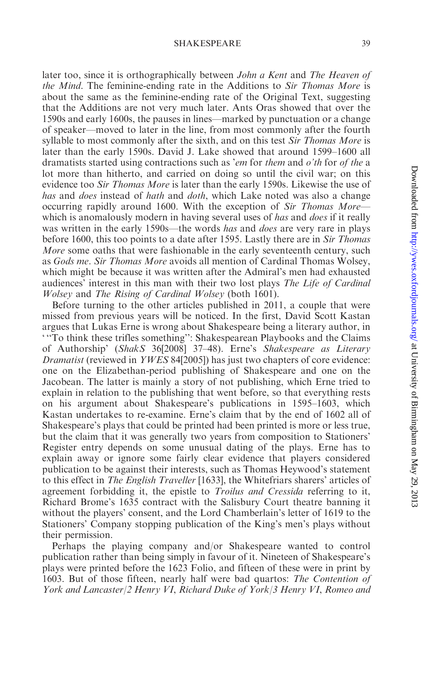later too, since it is orthographically between John a Kent and The Heaven of the Mind. The feminine-ending rate in the Additions to Sir Thomas More is about the same as the feminine-ending rate of the Original Text, suggesting that the Additions are not very much later. Ants Oras showed that over the 1590s and early 1600s, the pauses in lines—marked by punctuation or a change of speaker—moved to later in the line, from most commonly after the fourth syllable to most commonly after the sixth, and on this test *Sir Thomas More* is later than the early 1590s. David J. Lake showed that around 1599–1600 all dramatists started using contractions such as 'em for them and o'th for of the a lot more than hitherto, and carried on doing so until the civil war; on this evidence too Sir Thomas More is later than the early 1590s. Likewise the use of has and *does* instead of *hath* and *doth*, which Lake noted was also a change occurring rapidly around 1600. With the exception of Sir Thomas More which is anomalously modern in having several uses of has and does if it really was written in the early 1590s—the words has and does are very rare in plays before 1600, this too points to a date after 1595. Lastly there are in Sir Thomas More some oaths that were fashionable in the early seventeenth century, such as Gods me. Sir Thomas More avoids all mention of Cardinal Thomas Wolsey, which might be because it was written after the Admiral's men had exhausted audiences' interest in this man with their two lost plays The Life of Cardinal Wolsey and The Rising of Cardinal Wolsey (both 1601).

Before turning to the other articles published in 2011, a couple that were missed from previous years will be noticed. In the first, David Scott Kastan argues that Lukas Erne is wrong about Shakespeare being a literary author, in ' ''To think these trifles something'': Shakespearean Playbooks and the Claims of Authorship' (ShakS 36[2008] 37–48). Erne's Shakespeare as Literary Dramatist (reviewed in  $YWES$  84[2005]) has just two chapters of core evidence: one on the Elizabethan-period publishing of Shakespeare and one on the Jacobean. The latter is mainly a story of not publishing, which Erne tried to explain in relation to the publishing that went before, so that everything rests on his argument about Shakespeare's publications in 1595–1603, which Kastan undertakes to re-examine. Erne's claim that by the end of 1602 all of Shakespeare's plays that could be printed had been printed is more or less true, but the claim that it was generally two years from composition to Stationers' Register entry depends on some unusual dating of the plays. Erne has to explain away or ignore some fairly clear evidence that players considered publication to be against their interests, such as Thomas Heywood's statement to this effect in The English Traveller [1633], the Whitefriars sharers' articles of agreement forbidding it, the epistle to *Troilus and Cressida* referring to it, Richard Brome's 1635 contract with the Salisbury Court theatre banning it without the players' consent, and the Lord Chamberlain's letter of 1619 to the Stationers' Company stopping publication of the King's men's plays without their permission.

Perhaps the playing company and/or Shakespeare wanted to control publication rather than being simply in favour of it. Nineteen of Shakespeare's plays were printed before the 1623 Folio, and fifteen of these were in print by 1603. But of those fifteen, nearly half were bad quartos: The Contention of York and Lancaster/2 Henry VI, Richard Duke of York/3 Henry VI, Romeo and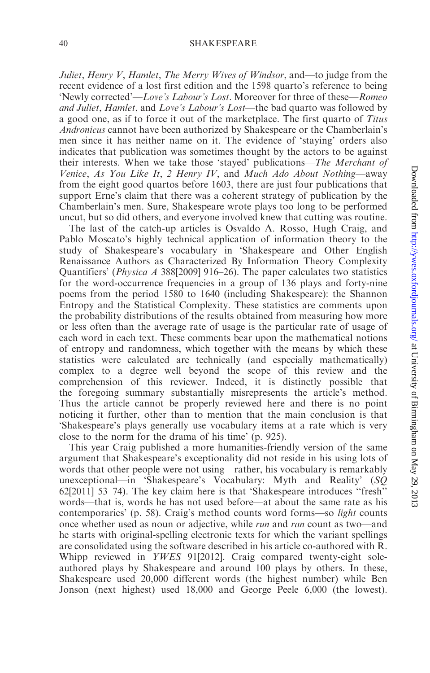Juliet, Henry V, Hamlet, The Merry Wives of Windsor, and—to judge from the recent evidence of a lost first edition and the 1598 quarto's reference to being 'Newly corrected'—Love's Labour's Lost. Moreover for three of these—Romeo and Juliet, Hamlet, and Love's Labour's Lost—the bad quarto was followed by a good one, as if to force it out of the marketplace. The first quarto of Titus Andronicus cannot have been authorized by Shakespeare or the Chamberlain's men since it has neither name on it. The evidence of 'staying' orders also indicates that publication was sometimes thought by the actors to be against their interests. When we take those 'stayed' publications—The Merchant of Venice, As You Like It, 2 Henry IV, and Much Ado About Nothing—away from the eight good quartos before 1603, there are just four publications that support Erne's claim that there was a coherent strategy of publication by the Chamberlain's men. Sure, Shakespeare wrote plays too long to be performed uncut, but so did others, and everyone involved knew that cutting was routine.

The last of the catch-up articles is Osvaldo A. Rosso, Hugh Craig, and Pablo Moscato's highly technical application of information theory to the study of Shakespeare's vocabulary in 'Shakespeare and Other English Renaissance Authors as Characterized By Information Theory Complexity Quantifiers' (Physica A 388[2009] 916–26). The paper calculates two statistics for the word-occurrence frequencies in a group of 136 plays and forty-nine poems from the period 1580 to 1640 (including Shakespeare): the Shannon Entropy and the Statistical Complexity. These statistics are comments upon the probability distributions of the results obtained from measuring how more or less often than the average rate of usage is the particular rate of usage of each word in each text. These comments bear upon the mathematical notions of entropy and randomness, which together with the means by which these statistics were calculated are technically (and especially mathematically) complex to a degree well beyond the scope of this review and the comprehension of this reviewer. Indeed, it is distinctly possible that the foregoing summary substantially misrepresents the article's method. Thus the article cannot be properly reviewed here and there is no point noticing it further, other than to mention that the main conclusion is that 'Shakespeare's plays generally use vocabulary items at a rate which is very close to the norm for the drama of his time' (p. 925).

This year Craig published a more humanities-friendly version of the same argument that Shakespeare's exceptionality did not reside in his using lots of words that other people were not using—rather, his vocabulary is remarkably unexceptional—in 'Shakespeare's Vocabulary: Myth and Reality' (SO  $62[2011]$  53–74). The key claim here is that 'Shakespeare introduces "fresh" words—that is, words he has not used before—at about the same rate as his contemporaries' (p. 58). Craig's method counts word forms—so light counts once whether used as noun or adjective, while run and ran count as two—and he starts with original-spelling electronic texts for which the variant spellings are consolidated using the software described in his article co-authored with R. Whipp reviewed in YWES 91[2012]. Craig compared twenty-eight soleauthored plays by Shakespeare and around 100 plays by others. In these, Shakespeare used 20,000 different words (the highest number) while Ben Jonson (next highest) used 18,000 and George Peele 6,000 (the lowest).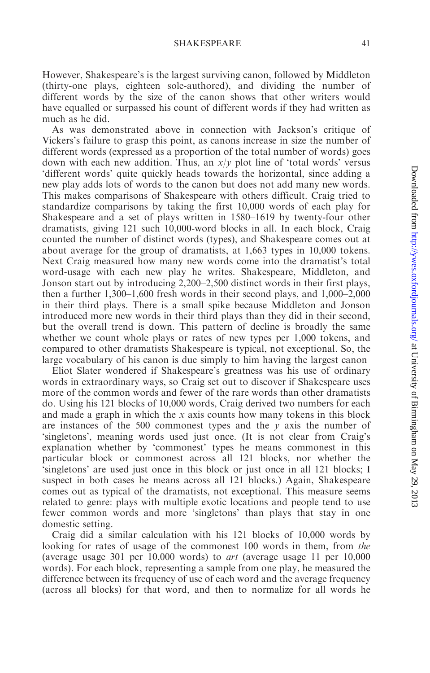However, Shakespeare's is the largest surviving canon, followed by Middleton (thirty-one plays, eighteen sole-authored), and dividing the number of different words by the size of the canon shows that other writers would have equalled or surpassed his count of different words if they had written as much as he did.

As was demonstrated above in connection with Jackson's critique of Vickers's failure to grasp this point, as canons increase in size the number of different words (expressed as a proportion of the total number of words) goes down with each new addition. Thus, an  $x/y$  plot line of 'total words' versus 'different words' quite quickly heads towards the horizontal, since adding a new play adds lots of words to the canon but does not add many new words. This makes comparisons of Shakespeare with others difficult. Craig tried to standardize comparisons by taking the first 10,000 words of each play for Shakespeare and a set of plays written in 1580–1619 by twenty-four other dramatists, giving 121 such 10,000-word blocks in all. In each block, Craig counted the number of distinct words (types), and Shakespeare comes out at about average for the group of dramatists, at 1,663 types in 10,000 tokens. Next Craig measured how many new words come into the dramatist's total word-usage with each new play he writes. Shakespeare, Middleton, and Jonson start out by introducing 2,200–2,500 distinct words in their first plays, then a further 1,300–1,600 fresh words in their second plays, and 1,000–2,000 in their third plays. There is a small spike because Middleton and Jonson introduced more new words in their third plays than they did in their second, but the overall trend is down. This pattern of decline is broadly the same whether we count whole plays or rates of new types per 1,000 tokens, and compared to other dramatists Shakespeare is typical, not exceptional. So, the large vocabulary of his canon is due simply to him having the largest canon

Eliot Slater wondered if Shakespeare's greatness was his use of ordinary words in extraordinary ways, so Craig set out to discover if Shakespeare uses more of the common words and fewer of the rare words than other dramatists do. Using his 121 blocks of 10,000 words, Craig derived two numbers for each and made a graph in which the x axis counts how many tokens in this block are instances of the 500 commonest types and the  $\dot{y}$  axis the number of 'singletons', meaning words used just once. (It is not clear from Craig's explanation whether by 'commonest' types he means commonest in this particular block or commonest across all 121 blocks, nor whether the 'singletons' are used just once in this block or just once in all 121 blocks; I suspect in both cases he means across all 121 blocks.) Again, Shakespeare comes out as typical of the dramatists, not exceptional. This measure seems related to genre: plays with multiple exotic locations and people tend to use fewer common words and more 'singletons' than plays that stay in one domestic setting.

Craig did a similar calculation with his 121 blocks of 10,000 words by looking for rates of usage of the commonest 100 words in them, from the (average usage 301 per  $10,000$  words) to *art* (average usage 11 per 10,000 words). For each block, representing a sample from one play, he measured the difference between its frequency of use of each word and the average frequency (across all blocks) for that word, and then to normalize for all words he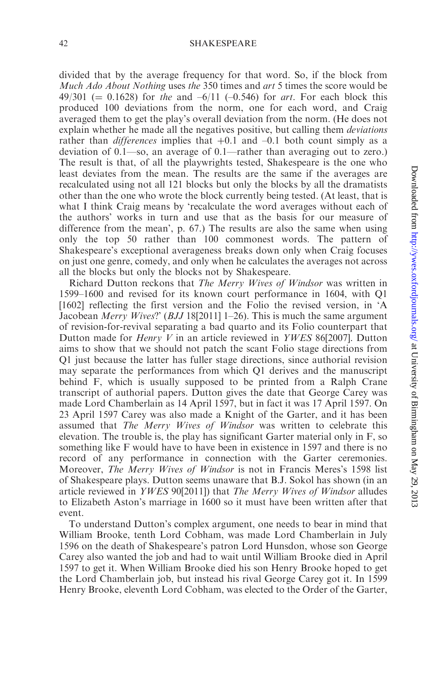divided that by the average frequency for that word. So, if the block from Much Ado About Nothing uses the 350 times and art 5 times the score would be 49/301 (= 0.1628) for the and –6/11 (–0.546) for art. For each block this produced 100 deviations from the norm, one for each word, and Craig averaged them to get the play's overall deviation from the norm. (He does not explain whether he made all the negatives positive, but calling them *deviations* rather than *differences* implies that  $+0.1$  and  $-0.1$  both count simply as a deviation of 0.1—so, an average of 0.1—rather than averaging out to zero.) The result is that, of all the playwrights tested, Shakespeare is the one who least deviates from the mean. The results are the same if the averages are recalculated using not all 121 blocks but only the blocks by all the dramatists other than the one who wrote the block currently being tested. (At least, that is what I think Craig means by 'recalculate the word averages without each of the authors' works in turn and use that as the basis for our measure of difference from the mean', p. 67.) The results are also the same when using only the top 50 rather than 100 commonest words. The pattern of Shakespeare's exceptional averageness breaks down only when Craig focuses on just one genre, comedy, and only when he calculates the averages not across all the blocks but only the blocks not by Shakespeare.

Richard Dutton reckons that The Merry Wives of Windsor was written in 1599–1600 and revised for its known court performance in 1604, with Q1 [1602] reflecting the first version and the Folio the revised version, in  $\hat{A}$ Jacobean Merry Wives?' (BJJ 18[2011] 1–26). This is much the same argument of revision-for-revival separating a bad quarto and its Folio counterpart that Dutton made for  $Henry V$  in an article reviewed in YWES 86[2007]. Dutton aims to show that we should not patch the scant Folio stage directions from Q1 just because the latter has fuller stage directions, since authorial revision may separate the performances from which Q1 derives and the manuscript behind F, which is usually supposed to be printed from a Ralph Crane transcript of authorial papers. Dutton gives the date that George Carey was made Lord Chamberlain as 14 April 1597, but in fact it was 17 April 1597. On 23 April 1597 Carey was also made a Knight of the Garter, and it has been assumed that *The Merry Wives of Windsor* was written to celebrate this elevation. The trouble is, the play has significant Garter material only in F, so something like F would have to have been in existence in 1597 and there is no record of any performance in connection with the Garter ceremonies. Moreover, The Merry Wives of Windsor is not in Francis Meres's 1598 list of Shakespeare plays. Dutton seems unaware that B.J. Sokol has shown (in an article reviewed in YWES 90[2011]) that The Merry Wives of Windsor alludes to Elizabeth Aston's marriage in 1600 so it must have been written after that event.

To understand Dutton's complex argument, one needs to bear in mind that William Brooke, tenth Lord Cobham, was made Lord Chamberlain in July 1596 on the death of Shakespeare's patron Lord Hunsdon, whose son George Carey also wanted the job and had to wait until William Brooke died in April 1597 to get it. When William Brooke died his son Henry Brooke hoped to get the Lord Chamberlain job, but instead his rival George Carey got it. In 1599 Henry Brooke, eleventh Lord Cobham, was elected to the Order of the Garter,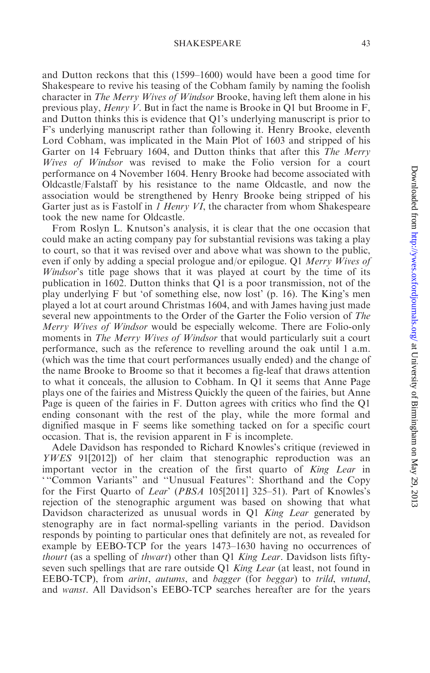and Dutton reckons that this (1599–1600) would have been a good time for Shakespeare to revive his teasing of the Cobham family by naming the foolish character in *The Merry Wives of Windsor* Brooke, having left them alone in his previous play, *Henry V*. But in fact the name is Brooke in Q1 but Broome in F, and Dutton thinks this is evidence that Q1's underlying manuscript is prior to F's underlying manuscript rather than following it. Henry Brooke, eleventh Lord Cobham, was implicated in the Main Plot of 1603 and stripped of his Garter on 14 February 1604, and Dutton thinks that after this The Merry Wives of Windsor was revised to make the Folio version for a court performance on 4 November 1604. Henry Brooke had become associated with Oldcastle/Falstaff by his resistance to the name Oldcastle, and now the association would be strengthened by Henry Brooke being stripped of his Garter just as is Fastolf in  $\overline{I}$  Henry VI, the character from whom Shakespeare took the new name for Oldcastle.

From Roslyn L. Knutson's analysis, it is clear that the one occasion that could make an acting company pay for substantial revisions was taking a play to court, so that it was revised over and above what was shown to the public, even if only by adding a special prologue and/or epilogue. Q1 Merry Wives of Windsor's title page shows that it was played at court by the time of its publication in  $1602$ . Dutton thinks that  $\overrightarrow{O1}$  is a poor transmission, not of the play underlying F but 'of something else, now lost' (p. 16). The King's men played a lot at court around Christmas 1604, and with James having just made several new appointments to the Order of the Garter the Folio version of The Merry Wives of Windsor would be especially welcome. There are Folio-only moments in The Merry Wives of Windsor that would particularly suit a court performance, such as the reference to revelling around the oak until 1 a.m. (which was the time that court performances usually ended) and the change of the name Brooke to Broome so that it becomes a fig-leaf that draws attention to what it conceals, the allusion to Cobham. In  $\overline{OI}$  it seems that Anne Page plays one of the fairies and Mistress Quickly the queen of the fairies, but Anne Page is queen of the fairies in F. Dutton agrees with critics who find the Q1 ending consonant with the rest of the play, while the more formal and dignified masque in F seems like something tacked on for a specific court occasion. That is, the revision apparent in  $\overline{F}$  is incomplete.

Adele Davidson has responded to Richard Knowles's critique (reviewed in YWES 91[2012]) of her claim that stenographic reproduction was an important vector in the creation of the first quarto of King Lear in ' ''Common Variants'' and ''Unusual Features'': Shorthand and the Copy for the First Quarto of Lear' (PBSA 105[2011] 325–51). Part of Knowles's rejection of the stenographic argument was based on showing that what Davidson characterized as unusual words in Q1 King Lear generated by stenography are in fact normal-spelling variants in the period. Davidson responds by pointing to particular ones that definitely are not, as revealed for example by EEBO-TCP for the years 1473–1630 having no occurrences of thourt (as a spelling of thwart) other than Q1 King Lear. Davidson lists fiftyseven such spellings that are rare outside Ol King Lear (at least, not found in EEBO-TCP), from arint, autums, and bagger (for beggar) to trild, vntund, and wanst. All Davidson's EEBO-TCP searches hereafter are for the years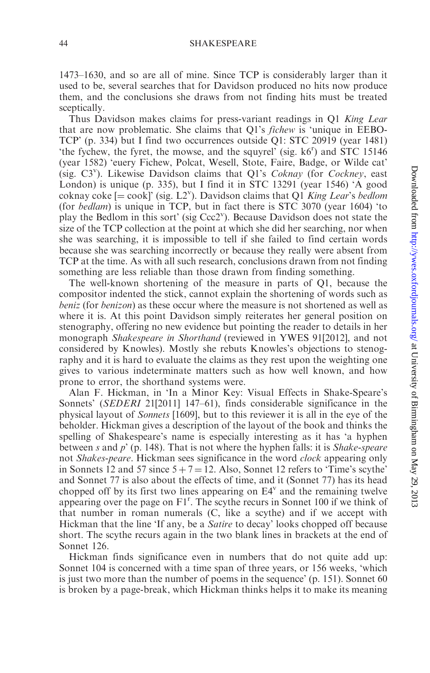1473–1630, and so are all of mine. Since TCP is considerably larger than it used to be, several searches that for Davidson produced no hits now produce them, and the conclusions she draws from not finding hits must be treated sceptically.

Thus Davidson makes claims for press-variant readings in Q1 King Lear that are now problematic. She claims that Q1's fichew is 'unique in EEBO-TCP' (p. 334) but I find two occurrences outside Q1: STC 20919 (year 1481) 'the fychew, the fyret, the mowse, and the squyrel' (sig. k6<sup>r</sup>) and STC 15146 (year 1582) 'euery Fichew, Polcat, Wesell, Stote, Faire, Badge, or Wilde cat' (sig. C3<sup>v</sup>). Likewise Davidson claims that Q1's Coknay (for Cockney, east London) is unique (p. 335), but I find it in STC 13291 (year 1546) 'A good coknay coke  $[= \cosh$  (sig. L2<sup>v</sup>). Davidson claims that Q1 *King Lear's bedlom* (for *bedlam*) is unique in TCP, but in fact there is  $STC$  3070 (year 1604) 'to play the Bedlom in this sort' (sig Ccc2<sup>v</sup>). Because Davidson does not state the size of the TCP collection at the point at which she did her searching, nor when she was searching, it is impossible to tell if she failed to find certain words because she was searching incorrectly or because they really were absent from TCP at the time. As with all such research, conclusions drawn from not finding something are less reliable than those drawn from finding something.

The well-known shortening of the measure in parts of Q1, because the compositor indented the stick, cannot explain the shortening of words such as beniz (for benizon) as these occur where the measure is not shortened as well as where it is. At this point Davidson simply reiterates her general position on stenography, offering no new evidence but pointing the reader to details in her monograph Shakespeare in Shorthand (reviewed in YWES 91[2012], and not considered by Knowles). Mostly she rebuts Knowles's objections to stenography and it is hard to evaluate the claims as they rest upon the weighting one gives to various indeterminate matters such as how well known, and how prone to error, the shorthand systems were.

Alan F. Hickman, in 'In a Minor Key: Visual Effects in Shake-Speare's Sonnets' (SEDERI 21[2011] 147–61), finds considerable significance in the physical layout of Sonnets [1609], but to this reviewer it is all in the eye of the beholder. Hickman gives a description of the layout of the book and thinks the spelling of Shakespeare's name is especially interesting as it has 'a hyphen between s and p' (p. 148). That is not where the hyphen falls: it is *Shake-speare* not Shakes-peare. Hickman sees significance in the word clock appearing only in Sonnets 12 and 57 since  $5 + 7 = 12$ . Also, Sonnet 12 refers to 'Time's scythe' and Sonnet 77 is also about the effects of time, and it (Sonnet 77) has its head chopped off by its first two lines appearing on  $E4^v$  and the remaining twelve appearing over the page on  $Fl<sup>r</sup>$ . The scythe recurs in Sonnet 100 if we think of that number in roman numerals (C, like a scythe) and if we accept with Hickman that the line 'If any, be a *Satire* to decay' looks chopped off because short. The scythe recurs again in the two blank lines in brackets at the end of Sonnet 126.

Hickman finds significance even in numbers that do not quite add up: Sonnet 104 is concerned with a time span of three years, or 156 weeks, 'which is just two more than the number of poems in the sequence' (p. 151). Sonnet 60 is broken by a page-break, which Hickman thinks helps it to make its meaning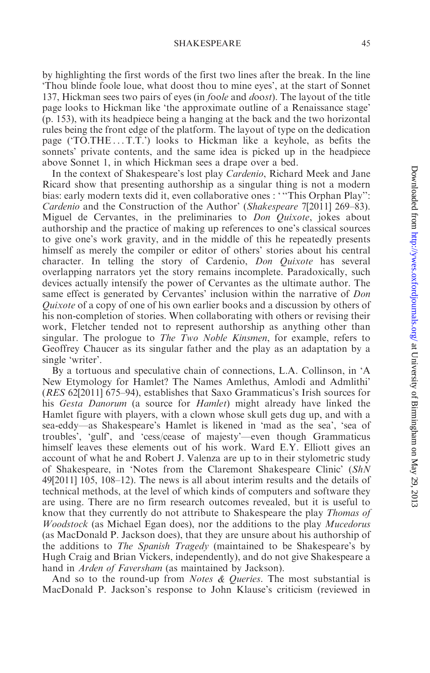by highlighting the first words of the first two lines after the break. In the line 'Thou blinde foole loue, what doost thou to mine eyes', at the start of Sonnet 137, Hickman sees two pairs of eyes (in foole and doost). The layout of the title page looks to Hickman like 'the approximate outline of a Renaissance stage' (p. 153), with its headpiece being a hanging at the back and the two horizontal rules being the front edge of the platform. The layout of type on the dedication page ('TO.THE ...T.T.') looks to Hickman like a keyhole, as befits the sonnets' private contents, and the same idea is picked up in the headpiece above Sonnet 1, in which Hickman sees a drape over a bed.

In the context of Shakespeare's lost play Cardenio, Richard Meek and Jane Ricard show that presenting authorship as a singular thing is not a modern bias: early modern texts did it, even collaborative ones : ' ''This Orphan Play'': Cardenio and the Construction of the Author' (Shakespeare 7[2011] 269–83). Miguel de Cervantes, in the preliminaries to *Don Quixote*, jokes about authorship and the practice of making up references to one's classical sources to give one's work gravity, and in the middle of this he repeatedly presents himself as merely the compiler or editor of others' stories about his central character. In telling the story of Cardenio, Don Quixote has several overlapping narrators yet the story remains incomplete. Paradoxically, such devices actually intensify the power of Cervantes as the ultimate author. The same effect is generated by Cervantes' inclusion within the narrative of *Don* Quixote of a copy of one of his own earlier books and a discussion by others of his non-completion of stories. When collaborating with others or revising their work, Fletcher tended not to represent authorship as anything other than singular. The prologue to *The Two Noble Kinsmen*, for example, refers to Geoffrey Chaucer as its singular father and the play as an adaptation by a single 'writer'.

By a tortuous and speculative chain of connections, L.A. Collinson, in 'A New Etymology for Hamlet? The Names Amlethus, Amlodi and Admlithi' (RES 62[2011] 675–94), establishes that Saxo Grammaticus's Irish sources for his Gesta Danorum (a source for Hamlet) might already have linked the Hamlet figure with players, with a clown whose skull gets dug up, and with a sea-eddy—as Shakespeare's Hamlet is likened in 'mad as the sea', 'sea of troubles', 'gulf', and 'cess/cease of majesty'—even though Grammaticus himself leaves these elements out of his work. Ward E.Y. Elliott gives an account of what he and Robert J. Valenza are up to in their stylometric study of Shakespeare, in 'Notes from the Claremont Shakespeare Clinic' (ShN 49[2011] 105, 108–12). The news is all about interim results and the details of technical methods, at the level of which kinds of computers and software they are using. There are no firm research outcomes revealed, but it is useful to know that they currently do not attribute to Shakespeare the play Thomas of Woodstock (as Michael Egan does), nor the additions to the play Mucedorus (as MacDonald P. Jackson does), that they are unsure about his authorship of the additions to The Spanish Tragedy (maintained to be Shakespeare's by Hugh Craig and Brian Vickers, independently), and do not give Shakespeare a hand in Arden of Faversham (as maintained by Jackson).

And so to the round-up from Notes & Queries. The most substantial is MacDonald P. Jackson's response to John Klause's criticism (reviewed in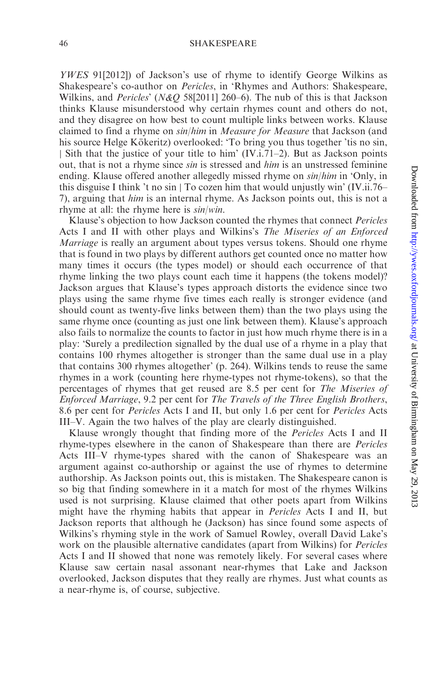YWES 91[2012]) of Jackson's use of rhyme to identify George Wilkins as Shakespeare's co-author on *Pericles*, in 'Rhymes and Authors: Shakespeare, Wilkins, and Pericles' (N&O 58[2011] 260–6). The nub of this is that Jackson thinks Klause misunderstood why certain rhymes count and others do not, and they disagree on how best to count multiple links between works. Klause claimed to find a rhyme on sin/him in Measure for Measure that Jackson (and his source Helge Kökeritz) overlooked: 'To bring you thus together 'tis no sin, | Sith that the justice of your title to him' (IV.i.71–2). But as Jackson points out, that is not a rhyme since  $sin$  is stressed and  $him$  is an unstressed feminine ending. Klause offered another allegedly missed rhyme on sin/him in 'Only, in this disguise I think 't no sin | To cozen him that would unjustly win' (IV.ii.76– 7), arguing that *him* is an internal rhyme. As Jackson points out, this is not a rhyme at all: the rhyme here is sin/win.

Klause's objection to how Jackson counted the rhymes that connect *Pericles* Acts I and II with other plays and Wilkins's The Miseries of an Enforced Marriage is really an argument about types versus tokens. Should one rhyme that is found in two plays by different authors get counted once no matter how many times it occurs (the types model) or should each occurrence of that rhyme linking the two plays count each time it happens (the tokens model)? Jackson argues that Klause's types approach distorts the evidence since two plays using the same rhyme five times each really is stronger evidence (and should count as twenty-five links between them) than the two plays using the same rhyme once (counting as just one link between them). Klause's approach also fails to normalize the counts to factor in just how much rhyme there is in a play: 'Surely a predilection signalled by the dual use of a rhyme in a play that contains 100 rhymes altogether is stronger than the same dual use in a play that contains 300 rhymes altogether' (p. 264). Wilkins tends to reuse the same rhymes in a work (counting here rhyme-types not rhyme-tokens), so that the percentages of rhymes that get reused are 8.5 per cent for The Miseries of Enforced Marriage, 9.2 per cent for The Travels of the Three English Brothers, 8.6 per cent for Pericles Acts I and II, but only 1.6 per cent for Pericles Acts III–V. Again the two halves of the play are clearly distinguished.

Klause wrongly thought that finding more of the *Pericles* Acts I and II rhyme-types elsewhere in the canon of Shakespeare than there are Pericles Acts III–V rhyme-types shared with the canon of Shakespeare was an argument against co-authorship or against the use of rhymes to determine authorship. As Jackson points out, this is mistaken. The Shakespeare canon is so big that finding somewhere in it a match for most of the rhymes Wilkins used is not surprising. Klause claimed that other poets apart from Wilkins might have the rhyming habits that appear in Pericles Acts I and II, but Jackson reports that although he (Jackson) has since found some aspects of Wilkins's rhyming style in the work of Samuel Rowley, overall David Lake's work on the plausible alternative candidates (apart from Wilkins) for *Pericles* Acts I and II showed that none was remotely likely. For several cases where Klause saw certain nasal assonant near-rhymes that Lake and Jackson overlooked, Jackson disputes that they really are rhymes. Just what counts as a near-rhyme is, of course, subjective.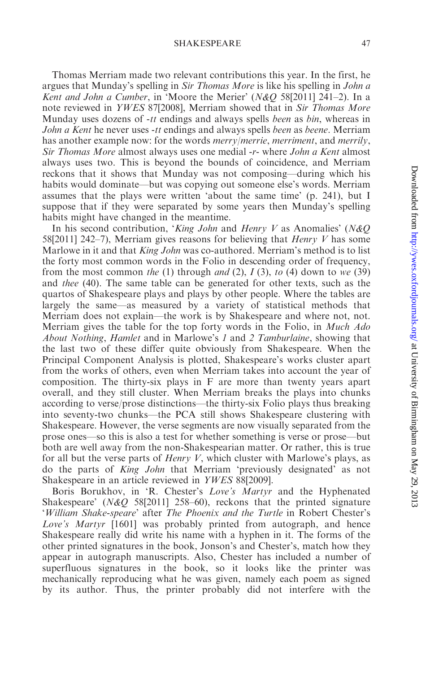Thomas Merriam made two relevant contributions this year. In the first, he argues that Munday's spelling in Sir Thomas More is like his spelling in John a Kent and John a Cumber, in 'Moore the Merier' (N&Q 58[2011] 241–2). In a note reviewed in YWES 87[2008], Merriam showed that in Sir Thomas More Munday uses dozens of  $-tt$  endings and always spells *been* as *bin*, whereas in John a Kent he never uses -tt endings and always spells been as beene. Merriam has another example now: for the words *merry/merrie, merriment*, and *merrily*, Sir Thomas More almost always uses one medial -r- where John a Kent almost always uses two. This is beyond the bounds of coincidence, and Merriam reckons that it shows that Munday was not composing—during which his habits would dominate—but was copying out someone else's words. Merriam assumes that the plays were written 'about the same time' (p. 241), but I suppose that if they were separated by some years then Munday's spelling habits might have changed in the meantime.

In his second contribution, 'King John and Henry V as Anomalies' (N&Q) 58[2011] 242–7), Merriam gives reasons for believing that *Henry V* has some Marlowe in it and that *King John* was co-authored. Merriam's method is to list the forty most common words in the Folio in descending order of frequency, from the most common the (1) through and (2),  $I(3)$ , to (4) down to we (39) and thee (40). The same table can be generated for other texts, such as the quartos of Shakespeare plays and plays by other people. Where the tables are largely the same—as measured by a variety of statistical methods that Merriam does not explain—the work is by Shakespeare and where not, not. Merriam gives the table for the top forty words in the Folio, in *Much Ado* About Nothing, Hamlet and in Marlowe's 1 and 2 Tamburlaine, showing that the last two of these differ quite obviously from Shakespeare. When the Principal Component Analysis is plotted, Shakespeare's works cluster apart from the works of others, even when Merriam takes into account the year of composition. The thirty-six plays in F are more than twenty years apart overall, and they still cluster. When Merriam breaks the plays into chunks according to verse/prose distinctions—the thirty-six Folio plays thus breaking into seventy-two chunks—the PCA still shows Shakespeare clustering with Shakespeare. However, the verse segments are now visually separated from the prose ones—so this is also a test for whether something is verse or prose—but both are well away from the non-Shakespearian matter. Or rather, this is true for all but the verse parts of *Henry V*, which cluster with Marlowe's plays, as do the parts of King John that Merriam 'previously designated' as not Shakespeare in an article reviewed in YWES 88[2009].

Boris Borukhov, in 'R. Chester's Love's Martyr and the Hyphenated Shakespeare' ( $N&Q$  58[2011] 258–60), reckons that the printed signature 'William Shake-speare' after The Phoenix and the Turtle in Robert Chester's Love's Martyr  $[1601]$  was probably printed from autograph, and hence Shakespeare really did write his name with a hyphen in it. The forms of the other printed signatures in the book, Jonson's and Chester's, match how they appear in autograph manuscripts. Also, Chester has included a number of superfluous signatures in the book, so it looks like the printer was mechanically reproducing what he was given, namely each poem as signed by its author. Thus, the printer probably did not interfere with the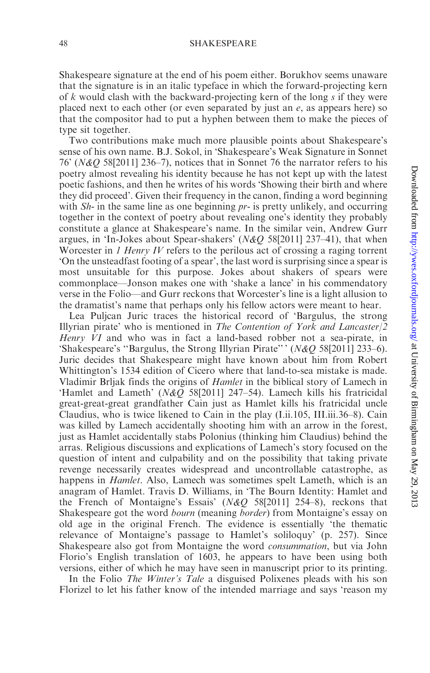Shakespeare signature at the end of his poem either. Borukhov seems unaware that the signature is in an italic typeface in which the forward-projecting kern of k would clash with the backward-projecting kern of the long s if they were placed next to each other (or even separated by just an  $e$ , as appears here) so that the compositor had to put a hyphen between them to make the pieces of type sit together.

Two contributions make much more plausible points about Shakespeare's sense of his own name. B.J. Sokol, in 'Shakespeare's Weak Signature in Sonnet 76' ( $N&O$  58[2011] 236–7), notices that in Sonnet 76 the narrator refers to his poetry almost revealing his identity because he has not kept up with the latest poetic fashions, and then he writes of his words 'Showing their birth and where they did proceed'. Given their frequency in the canon, finding a word beginning with  $Sh$ - in the same line as one beginning  $pr$ - is pretty unlikely, and occurring together in the context of poetry about revealing one's identity they probably constitute a glance at Shakespeare's name. In the similar vein, Andrew Gurr argues, in 'In-Jokes about Spear-shakers' (N&O 58[2011] 237–41), that when Worcester in  $\hat{I}$  Henry IV refers to the perilous act of crossing a raging torrent 'On the unsteadfast footing of a spear', the last word is surprising since a spear is most unsuitable for this purpose. Jokes about shakers of spears were commonplace—Jonson makes one with 'shake a lance' in his commendatory verse in the Folio—and Gurr reckons that Worcester's line is a light allusion to the dramatist's name that perhaps only his fellow actors were meant to hear.

Lea Puljcan Juric traces the historical record of 'Bargulus, the strong Illyrian pirate' who is mentioned in The Contention of York and Lancaster/2 Henry  $VI$  and who was in fact a land-based robber not a sea-pirate, in 'Shakespeare's ''Bargulus, the Strong Illyrian Pirate'' ' (N&Q 58[2011] 233–6). Juric decides that Shakespeare might have known about him from Robert Whittington's 1534 edition of Cicero where that land-to-sea mistake is made. Vladimir Brliak finds the origins of *Hamlet* in the biblical story of Lamech in 'Hamlet and Lameth' ( $N&O$  58[2011] 247–54). Lamech kills his fratricidal great-great-great grandfather Cain just as Hamlet kills his fratricidal uncle Claudius, who is twice likened to Cain in the play (I.ii.105, III.iii.36–8). Cain was killed by Lamech accidentally shooting him with an arrow in the forest, just as Hamlet accidentally stabs Polonius (thinking him Claudius) behind the arras. Religious discussions and explications of Lamech's story focused on the question of intent and culpability and on the possibility that taking private revenge necessarily creates widespread and uncontrollable catastrophe, as happens in *Hamlet*. Also, Lamech was sometimes spelt Lameth, which is an anagram of Hamlet. Travis D. Williams, in 'The Bourn Identity: Hamlet and the French of Montaigne's Essais' ( $N&Q$  58[2011] 254–8), reckons that Shakespeare got the word bourn (meaning border) from Montaigne's essay on old age in the original French. The evidence is essentially 'the thematic relevance of Montaigne's passage to Hamlet's soliloquy' (p. 257). Since Shakespeare also got from Montaigne the word consummation, but via John Florio's English translation of 1603, he appears to have been using both versions, either of which he may have seen in manuscript prior to its printing.

In the Folio *The Winter's Tale* a disguised Polixenes pleads with his son Florizel to let his father know of the intended marriage and says 'reason my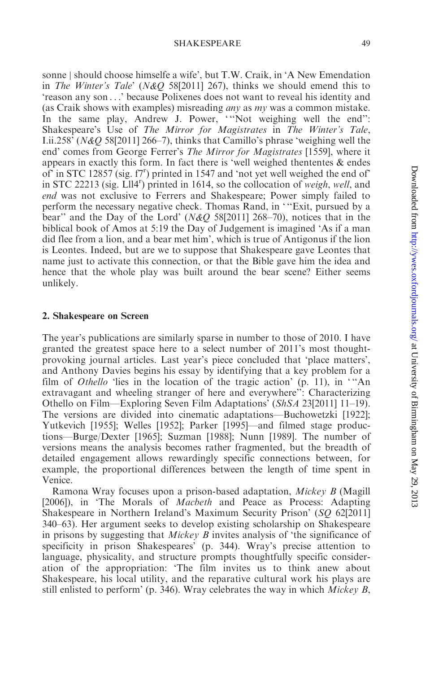sonne j should choose himselfe a wife', but T.W. Craik, in 'A New Emendation in The Winter's Tale' (N&Q 58[2011] 267), thinks we should emend this to 'reason any son ...' because Polixenes does not want to reveal his identity and (as Craik shows with examples) misreading *any* as  $my$  was a common mistake. In the same play, Andrew J. Power, "Not weighing well the end": Shakespeare's Use of The Mirror for Magistrates in The Winter's Tale,  $I.ii.258^{\circ}$  (N&Q 58[2011] 266–7), thinks that Camillo's phrase 'weighing well the end' comes from George Ferrer's The Mirror for Magistrates [1559], where it appears in exactly this form. In fact there is 'well weighed thententes & endes of' in STC 12857 (sig. f7<sup>r</sup>) printed in 1547 and 'not yet well weighed the end of' in STC 22213 (sig. Lll4<sup>r</sup>) printed in 1614, so the collocation of weigh, well, and end was not exclusive to Ferrers and Shakespeare; Power simply failed to perform the necessary negative check. Thomas Rand, in ' ''Exit, pursued by a bear" and the Day of the Lord' ( $N&Q$  58[2011] 268–70), notices that in the biblical book of Amos at 5:19 the Day of Judgement is imagined 'As if a man did flee from a lion, and a bear met him', which is true of Antigonus if the lion is Leontes. Indeed, but are we to suppose that Shakespeare gave Leontes that name just to activate this connection, or that the Bible gave him the idea and hence that the whole play was built around the bear scene? Either seems unlikely.

## 2. Shakespeare on Screen

The year's publications are similarly sparse in number to those of 2010. I have granted the greatest space here to a select number of 2011's most thoughtprovoking journal articles. Last year's piece concluded that 'place matters', and Anthony Davies begins his essay by identifying that a key problem for a film of *Othello* 'lies in the location of the tragic action' (p. 11), in "An extravagant and wheeling stranger of here and everywhere'': Characterizing Othello on Film—Exploring Seven Film Adaptations' (ShSA 23[2011] 11–19). The versions are divided into cinematic adaptations—Buchowetzki [1922]; Yutkevich [1955]; Welles [1952]; Parker [1995]—and filmed stage productions—Burge/Dexter [1965]; Suzman [1988]; Nunn [1989]. The number of versions means the analysis becomes rather fragmented, but the breadth of detailed engagement allows rewardingly specific connections between, for example, the proportional differences between the length of time spent in Venice.

Ramona Wray focuses upon a prison-based adaptation, Mickey B (Magill [2006]), in 'The Morals of *Macbeth* and Peace as Process: Adapting Shakespeare in Northern Ireland's Maximum Security Prison' (SQ 62[2011] 340–63). Her argument seeks to develop existing scholarship on Shakespeare in prisons by suggesting that *Mickey*  $\vec{B}$  invites analysis of 'the significance of specificity in prison Shakespeares' (p. 344). Wray's precise attention to language, physicality, and structure prompts thoughtfully specific consideration of the appropriation: 'The film invites us to think anew about Shakespeare, his local utility, and the reparative cultural work his plays are still enlisted to perform' (p. 346). Wray celebrates the way in which Mickey B,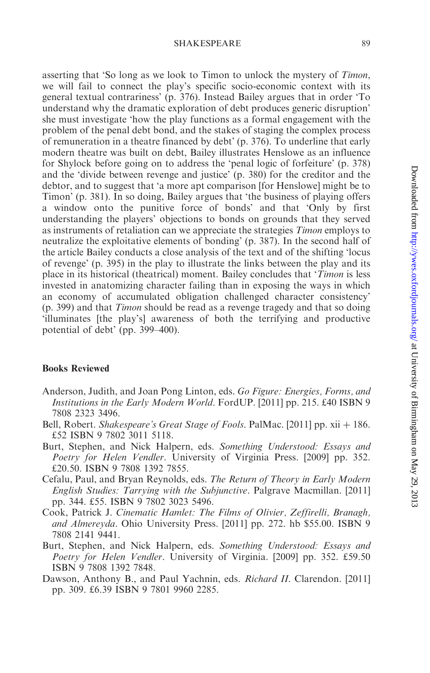asserting that 'So long as we look to Timon to unlock the mystery of Timon, we will fail to connect the play's specific socio-economic context with its general textual contrariness' (p. 376). Instead Bailey argues that in order 'To understand why the dramatic exploration of debt produces generic disruption' she must investigate 'how the play functions as a formal engagement with the problem of the penal debt bond, and the stakes of staging the complex process of remuneration in a theatre financed by debt' (p. 376). To underline that early modern theatre was built on debt, Bailey illustrates Henslowe as an influence for Shylock before going on to address the 'penal logic of forfeiture' (p. 378) and the 'divide between revenge and justice' (p. 380) for the creditor and the debtor, and to suggest that 'a more apt comparison [for Henslowe] might be to Timon' (p. 381). In so doing, Bailey argues that 'the business of playing offers a window onto the punitive force of bonds' and that 'Only by first understanding the players' objections to bonds on grounds that they served as instruments of retaliation can we appreciate the strategies Timon employs to neutralize the exploitative elements of bonding' (p. 387). In the second half of the article Bailey conducts a close analysis of the text and of the shifting 'locus of revenge' (p. 395) in the play to illustrate the links between the play and its place in its historical (theatrical) moment. Bailey concludes that 'Timon is less invested in anatomizing character failing than in exposing the ways in which an economy of accumulated obligation challenged character consistency' (p. 399) and that Timon should be read as a revenge tragedy and that so doing 'illuminates [the play's] awareness of both the terrifying and productive potential of debt' (pp. 399–400).

## Books Reviewed

- Anderson, Judith, and Joan Pong Linton, eds. Go Figure: Energies, Forms, and Institutions in the Early Modern World. FordUP. [2011] pp. 215. £40 ISBN 9 7808 2323 3496.
- Bell, Robert. Shakespeare's Great Stage of Fools. PalMac. [2011] pp.  $xii + 186$ . £52 ISBN 9 7802 3011 5118.
- Burt, Stephen, and Nick Halpern, eds. Something Understood: Essays and Poetry for Helen Vendler. University of Virginia Press. [2009] pp. 352. £20.50. ISBN 9 7808 1392 7855.
- Cefalu, Paul, and Bryan Reynolds, eds. The Return of Theory in Early Modern English Studies: Tarrying with the Subjunctive. Palgrave Macmillan. [2011] pp. 344. £55. ISBN 9 7802 3023 5496.
- Cook, Patrick J. Cinematic Hamlet: The Films of Olivier, Zeffirelli, Branagh, and Almereyda. Ohio University Press. [2011] pp. 272. hb \$55.00. ISBN 9 7808 2141 9441.
- Burt, Stephen, and Nick Halpern, eds. Something Understood: Essays and Poetry for Helen Vendler. University of Virginia. [2009] pp. 352. £59.50 ISBN 9 7808 1392 7848.
- Dawson, Anthony B., and Paul Yachnin, eds. Richard II. Clarendon. [2011] pp. 309. £6.39 ISBN 9 7801 9960 2285.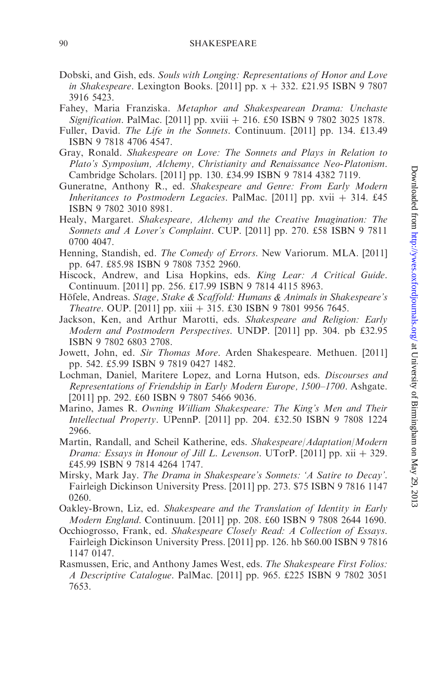- Dobski, and Gish, eds. Souls with Longing: Representations of Honor and Love in Shakespeare. Lexington Books.  $\overline{20111}$  pp. x + 332. £21.95 ISBN 9 7807 3916 5423.
- Fahey, Maria Franziska. Metaphor and Shakespearean Drama: Unchaste Signification. PalMac. [2011] pp. xviii  $+$  216. £50 ISBN 9 7802 3025 1878.
- Fuller, David. The Life in the Sonnets. Continuum. [2011] pp. 134. £13.49 ISBN 9 7818 4706 4547.
- Gray, Ronald. Shakespeare on Love: The Sonnets and Plays in Relation to Plato's Symposium, Alchemy, Christianity and Renaissance Neo-Platonism. Cambridge Scholars. [2011] pp. 130. £34.99 ISBN 9 7814 4382 7119.
- Guneratne, Anthony R., ed. Shakespeare and Genre: From Early Modern Inheritances to Postmodern Legacies. PalMac. [2011] pp. xvii + 314. £45 ISBN 9 7802 3010 8981.
- Healy, Margaret. Shakespeare, Alchemy and the Creative Imagination: The Sonnets and A Lover's Complaint. CUP. [2011] pp. 270. £58 ISBN 9 7811 0700 4047.
- Henning, Standish, ed. The Comedy of Errors. New Variorum. MLA. [2011] pp. 647. £85.98 ISBN 9 7808 7352 2960.
- Hiscock, Andrew, and Lisa Hopkins, eds. King Lear: A Critical Guide. Continuum. [2011] pp. 256. £17.99 ISBN 9 7814 4115 8963.
- Höfele, Andreas. Stage, Stake & Scaffold: Humans & Animals in Shakespeare's *Theatre.* OUP. [2011] pp. xiii  $+315. \text{£}30$  ISBN 9 7801 9956 7645.
- Jackson, Ken, and Arthur Marotti, eds. Shakespeare and Religion: Early Modern and Postmodern Perspectives. UNDP. [2011] pp. 304. pb £32.95 ISBN 9 7802 6803 2708.
- Jowett, John, ed. Sir Thomas More. Arden Shakespeare. Methuen. [2011] pp. 542. £5.99 ISBN 9 7819 0427 1482.
- Lochman, Daniel, Maritere Lopez, and Lorna Hutson, eds. Discourses and Representations of Friendship in Early Modern Europe, 1500–1700. Ashgate. [2011] pp. 292. £60 ISBN 9 7807 5466 9036.
- Marino, James R. Owning William Shakespeare: The King's Men and Their Intellectual Property. UPennP. [2011] pp. 204. £32.50 ISBN 9 7808 1224 2966.
- Martin, Randall, and Scheil Katherine, eds. Shakespeare/Adaptation/Modern Drama: Essays in Honour of Jill L. Levenson. UTorP. [2011] pp.  $xii + 329$ . £45.99 ISBN 9 7814 4264 1747.
- Mirsky, Mark Jay. The Drama in Shakespeare's Sonnets: 'A Satire to Decay'. Fairleigh Dickinson University Press. [2011] pp. 273. \$75 ISBN 9 7816 1147 0260.
- Oakley-Brown, Liz, ed. Shakespeare and the Translation of Identity in Early Modern England. Continuum. [2011] pp. 208. £60 ISBN 9 7808 2644 1690.
- Occhiogrosso, Frank, ed. Shakespeare Closely Read: A Collection of Essays. Fairleigh Dickinson University Press. [2011] pp. 126. hb \$60.00 ISBN 9 7816 1147 0147.
- Rasmussen, Eric, and Anthony James West, eds. The Shakespeare First Folios: A Descriptive Catalogue. PalMac. [2011] pp. 965. £225 ISBN 9 7802 3051 7653.